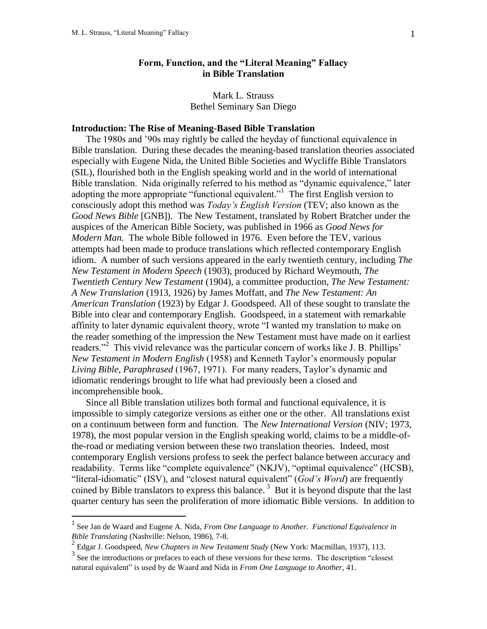$\overline{a}$ 

## **Form, Function, and the "Literal Meaning" Fallacy in Bible Translation**

Mark L. Strauss Bethel Seminary San Diego

### **Introduction: The Rise of Meaning-Based Bible Translation**

The 1980s and "90s may rightly be called the heyday of functional equivalence in Bible translation. During these decades the meaning-based translation theories associated especially with Eugene Nida, the United Bible Societies and Wycliffe Bible Translators (SIL), flourished both in the English speaking world and in the world of international Bible translation. Nida originally referred to his method as "dynamic equivalence," later adopting the more appropriate "functional equivalent."<sup>1</sup> The first English version to consciously adopt this method was *Today's English Version* (TEV; also known as the *Good News Bible* [GNB]). The New Testament, translated by Robert Bratcher under the auspices of the American Bible Society, was published in 1966 as *Good News for Modern Man.* The whole Bible followed in 1976. Even before the TEV, various attempts had been made to produce translations which reflected contemporary English idiom. A number of such versions appeared in the early twentieth century, including *The New Testament in Modern Speech* (1903), produced by Richard Weymouth, *The Twentieth Century New Testament* (1904), a committee production, *The New Testament: A New Translation* (1913, 1926) by James Moffatt, and *The New Testament: An American Translation* (1923) by Edgar J. Goodspeed. All of these sought to translate the Bible into clear and contemporary English. Goodspeed, in a statement with remarkable affinity to later dynamic equivalent theory, wrote "I wanted my translation to make on the reader something of the impression the New Testament must have made on it earliest readers."<sup>2</sup> This vivid relevance was the particular concern of works like J. B. Phillips' *New Testament in Modern English* (1958) and Kenneth Taylor's enormously popular *Living Bible, Paraphrased* (1967, 1971). For many readers, Taylor"s dynamic and idiomatic renderings brought to life what had previously been a closed and incomprehensible book.

Since all Bible translation utilizes both formal and functional equivalence, it is impossible to simply categorize versions as either one or the other. All translations exist on a continuum between form and function. The *New International Version* (NIV; 1973, 1978), the most popular version in the English speaking world, claims to be a middle-ofthe-road or mediating version between these two translation theories. Indeed, most contemporary English versions profess to seek the perfect balance between accuracy and readability. Terms like "complete equivalence" (NKJV), "optimal equivalence" (HCSB), "literal-idiomatic" (ISV), and "closest natural equivalent" (*God's Word*) are frequently coined by Bible translators to express this balance.<sup>3</sup> But it is beyond dispute that the last quarter century has seen the proliferation of more idiomatic Bible versions. In addition to

<sup>1</sup> See Jan de Waard and Eugene A. Nida, *From One Language to Another. Functional Equivalence in Bible Translating* (Nashville: Nelson, 1986), 7-8.

<sup>2</sup> Edgar J. Goodspeed, *New Chapters in New Testament Study* (New York: Macmillan, 1937), 113.

<sup>&</sup>lt;sup>3</sup> See the introductions or prefaces to each of these versions for these terms. The description "closest" natural equivalent" is used by de Waard and Nida in *From One Language to Another,* 41.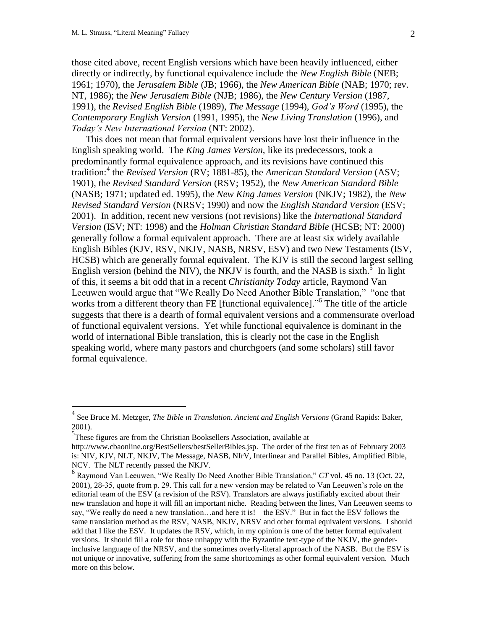those cited above, recent English versions which have been heavily influenced, either directly or indirectly, by functional equivalence include the *New English Bible* (NEB; 1961; 1970), the *Jerusalem Bible* (JB; 1966), the *New American Bible* (NAB; 1970; rev. NT, 1986); the *New Jerusalem Bible* (NJB; 1986), the *New Century Version* (1987, 1991), the *Revised English Bible* (1989), *The Message* (1994), *God's Word* (1995), the *Contemporary English Version* (1991, 1995), the *New Living Translation* (1996), and *Today's New International Version* (NT: 2002).

This does not mean that formal equivalent versions have lost their influence in the English speaking world. The *King James Version,* like its predecessors, took a predominantly formal equivalence approach, and its revisions have continued this tradition:<sup>4</sup> the *Revised Version* (RV; 1881-85), the *American Standard Version* (ASV; 1901), the *Revised Standard Version* (RSV; 1952), the *New American Standard Bible* (NASB; 1971; updated ed. 1995), the *New King James Version* (NKJV; 1982), the *New Revised Standard Version* (NRSV; 1990) and now the *English Standard Version* (ESV; 2001). In addition, recent new versions (not revisions) like the *International Standard Version* (ISV; NT: 1998) and the *Holman Christian Standard Bible* (HCSB; NT: 2000) generally follow a formal equivalent approach. There are at least six widely available English Bibles (KJV, RSV, NKJV, NASB, NRSV, ESV) and two New Testaments (ISV, HCSB) which are generally formal equivalent. The KJV is still the second largest selling English version (behind the NIV), the NKJV is fourth, and the NASB is sixth.<sup>5</sup> In light of this, it seems a bit odd that in a recent *Christianity Today* article, Raymond Van Leeuwen would argue that "We Really Do Need Another Bible Translation," "one that works from a different theory than FE [functional equivalence]."<sup>6</sup> The title of the article suggests that there is a dearth of formal equivalent versions and a commensurate overload of functional equivalent versions. Yet while functional equivalence is dominant in the world of international Bible translation, this is clearly not the case in the English speaking world, where many pastors and churchgoers (and some scholars) still favor formal equivalence.

<sup>4</sup> See Bruce M. Metzger, *The Bible in Translation. Ancient and English Versions* (Grand Rapids: Baker, 2001).

<sup>&</sup>lt;sup>5</sup>These figures are from the Christian Booksellers Association, available at

http://www.cbaonline.org/BestSellers/bestSellerBibles.jsp. The order of the first ten as of February 2003 is: NIV, KJV, NLT, NKJV, The Message, NASB, NIrV, Interlinear and Parallel Bibles, Amplified Bible, NCV. The NLT recently passed the NKJV.

<sup>6</sup> Raymond Van Leeuwen, "We Really Do Need Another Bible Translation," *CT* vol. 45 no. 13 (Oct. 22, 2001), 28-35, quote from p. 29. This call for a new version may be related to Van Leeuwen"s role on the editorial team of the ESV (a revision of the RSV)*.* Translators are always justifiably excited about their new translation and hope it will fill an important niche. Reading between the lines, Van Leeuwen seems to say, "We really do need a new translation...and here it is! – the ESV." But in fact the ESV follows the same translation method as the RSV, NASB, NKJV, NRSV and other formal equivalent versions.I should add that I like the ESV. It updates the RSV, which, in my opinion is one of the better formal equivalent versions. It should fill a role for those unhappy with the Byzantine text-type of the NKJV, the genderinclusive language of the NRSV, and the sometimes overly-literal approach of the NASB. But the ESV is not unique or innovative, suffering from the same shortcomings as other formal equivalent version. Much more on this below.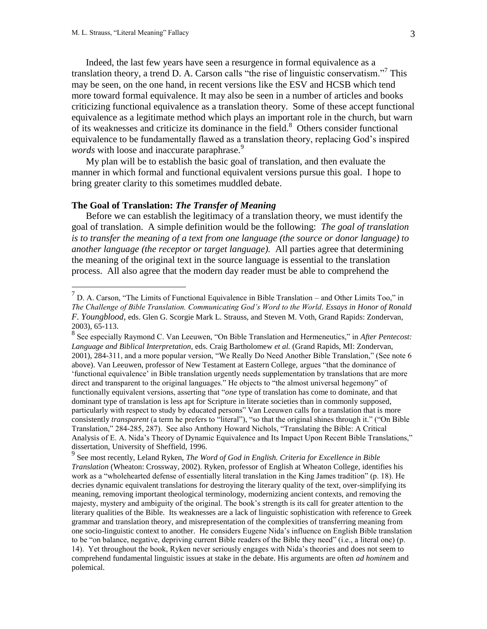$\overline{a}$ 

Indeed, the last few years have seen a resurgence in formal equivalence as a translation theory, a trend D. A. Carson calls "the rise of linguistic conservatism."<sup>7</sup> This may be seen, on the one hand, in recent versions like the ESV and HCSB which tend more toward formal equivalence. It may also be seen in a number of articles and books criticizing functional equivalence as a translation theory. Some of these accept functional equivalence as a legitimate method which plays an important role in the church, but warn of its weaknesses and criticize its dominance in the field.<sup>8</sup> Others consider functional equivalence to be fundamentally flawed as a translation theory, replacing God"s inspired *words* with loose and inaccurate paraphrase.<sup>9</sup>

My plan will be to establish the basic goal of translation, and then evaluate the manner in which formal and functional equivalent versions pursue this goal. I hope to bring greater clarity to this sometimes muddled debate.

# **The Goal of Translation:** *The Transfer of Meaning*

Before we can establish the legitimacy of a translation theory, we must identify the goal of translation. A simple definition would be the following: *The goal of translation is to transfer the meaning of a text from one language (the source or donor language) to another language (the receptor or target language).* All parties agree that determining the meaning of the original text in the source language is essential to the translation process. All also agree that the modern day reader must be able to comprehend the

<sup>&</sup>lt;sup>7</sup> D. A. Carson, "The Limits of Functional Equivalence in Bible Translation – and Other Limits Too," in *The Challenge of Bible Translation. Communicating God's Word to the World. Essays in Honor of Ronald F. Youngblood,* eds. Glen G. Scorgie Mark L. Strauss, and Steven M. Voth, Grand Rapids: Zondervan, 2003), 65-113.

<sup>8</sup> See especially Raymond C. Van Leeuwen, "On Bible Translation and Hermeneutics," in *After Pentecost: Language and Biblical Interpretation,* eds. Craig Bartholomew *et al.* (Grand Rapids, MI: Zondervan, 2001), 284-311, and a more popular version, "We Really Do Need Another Bible Translation," (See note 6 above). Van Leeuwen, professor of New Testament at Eastern College, argues "that the dominance of 'functional equivalence' in Bible translation urgently needs supplementation by translations that are more direct and transparent to the original languages." He objects to "the almost universal hegemony" of functionally equivalent versions, asserting that "*one* type of translation has come to dominate, and that dominant type of translation is less apt for Scripture in literate societies than in commonly supposed, particularly with respect to study by educated persons" Van Leeuwen calls for a translation that is more consistently *transparent* (a term he prefers to "literal"), "so that the original shines through it." ("On Bible Translation," 284-285, 287). See also Anthony Howard Nichols, "Translating the Bible: A Critical Analysis of E. A. Nida"s Theory of Dynamic Equivalence and Its Impact Upon Recent Bible Translations,"

dissertation, University of Sheffield, 1996. 9 See most recently, Leland Ryken, *The Word of God in English. Criteria for Excellence in Bible Translation* (Wheaton: Crossway, 2002). Ryken, professor of English at Wheaton College, identifies his work as a "wholehearted defense of essentially literal translation in the King James tradition" (p. 18). He decries dynamic equivalent translations for destroying the literary quality of the text, over-simplifying its meaning, removing important theological terminology, modernizing ancient contexts, and removing the majesty, mystery and ambiguity of the original. The book"s strength is its call for greater attention to the literary qualities of the Bible. Its weaknesses are a lack of linguistic sophistication with reference to Greek grammar and translation theory, and misrepresentation of the complexities of transferring meaning from one socio-linguistic context to another. He considers Eugene Nida"s influence on English Bible translation to be "on balance, negative, depriving current Bible readers of the Bible they need" (i.e., a literal one) (p. 14). Yet throughout the book, Ryken never seriously engages with Nida"s theories and does not seem to comprehend fundamental linguistic issues at stake in the debate. His arguments are often *ad hominem* and polemical.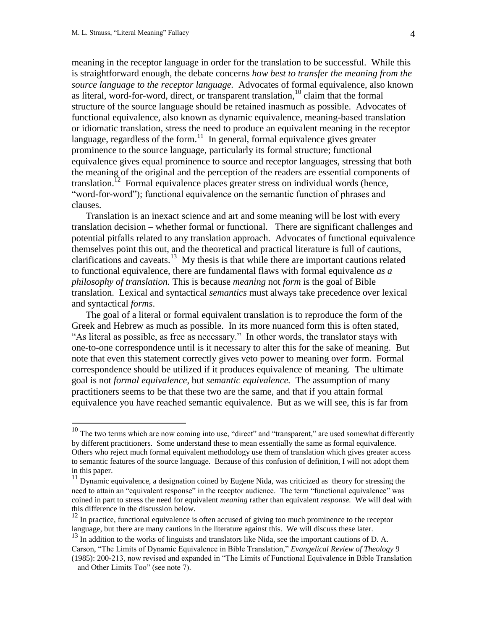$\overline{a}$ 

meaning in the receptor language in order for the translation to be successful. While this is straightforward enough, the debate concerns *how best to transfer the meaning from the source language to the receptor language.* Advocates of formal equivalence, also known as literal, word-for-word, direct, or transparent translation,<sup>10</sup> claim that the formal structure of the source language should be retained inasmuch as possible. Advocates of functional equivalence, also known as dynamic equivalence, meaning-based translation or idiomatic translation, stress the need to produce an equivalent meaning in the receptor language, regardless of the form.<sup>11</sup> In general, formal equivalence gives greater prominence to the source language, particularly its formal structure; functional equivalence gives equal prominence to source and receptor languages, stressing that both the meaning of the original and the perception of the readers are essential components of translation.<sup>12</sup> Formal equivalence places greater stress on individual words (hence, "word-for-word"); functional equivalence on the semantic function of phrases and clauses.

Translation is an inexact science and art and some meaning will be lost with every translation decision – whether formal or functional. There are significant challenges and potential pitfalls related to any translation approach. Advocates of functional equivalence themselves point this out, and the theoretical and practical literature is full of cautions, clarifications and caveats.<sup>13</sup> My thesis is that while there are important cautions related to functional equivalence, there are fundamental flaws with formal equivalence *as a philosophy of translation.* This is because *meaning* not *form* is the goal of Bible translation. Lexical and syntactical *semantics* must always take precedence over lexical and syntactical *forms*.

The goal of a literal or formal equivalent translation is to reproduce the form of the Greek and Hebrew as much as possible. In its more nuanced form this is often stated, "As literal as possible, as free as necessary." In other words, the translator stays with one-to-one correspondence until is it necessary to alter this for the sake of meaning. But note that even this statement correctly gives veto power to meaning over form. Formal correspondence should be utilized if it produces equivalence of meaning. The ultimate goal is not *formal equivalence*, but *semantic equivalence.* The assumption of many practitioners seems to be that these two are the same, and that if you attain formal equivalence you have reached semantic equivalence. But as we will see, this is far from

 $10$  The two terms which are now coming into use, "direct" and "transparent," are used somewhat differently by different practitioners. Some understand these to mean essentially the same as formal equivalence. Others who reject much formal equivalent methodology use them of translation which gives greater access to semantic features of the source language. Because of this confusion of definition, I will not adopt them in this paper.

<sup>&</sup>lt;sup>11</sup> Dynamic equivalence, a designation coined by Eugene Nida, was criticized as theory for stressing the need to attain an "equivalent response" in the receptor audience. The term "functional equivalence" was coined in part to stress the need for equivalent *meaning* rather than equivalent *response.* We will deal with this difference in the discussion below.

 $12$  In practice, functional equivalence is often accused of giving too much prominence to the receptor language, but there are many cautions in the literature against this. We will discuss these later.

<sup>&</sup>lt;sup>13</sup> In addition to the works of linguists and translators like Nida, see the important cautions of D. A. Carson, "The Limits of Dynamic Equivalence in Bible Translation," *Evangelical Review of Theology* 9 (1985): 200-213, now revised and expanded in "The Limits of Functional Equivalence in Bible Translation – and Other Limits Too" (see note 7).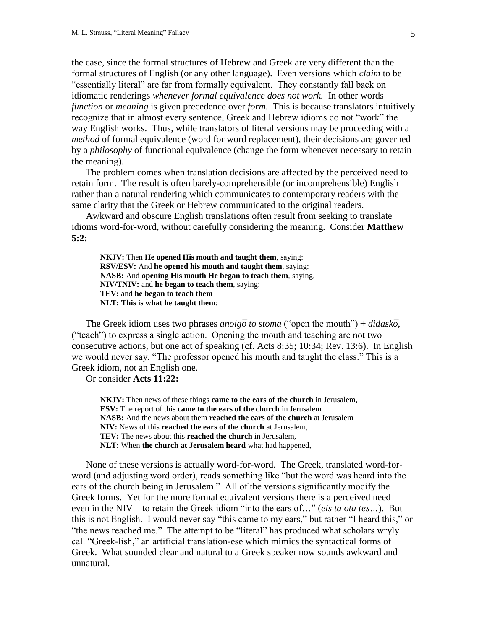the case, since the formal structures of Hebrew and Greek are very different than the formal structures of English (or any other language). Even versions which *claim* to be "essentially literal" are far from formally equivalent. They constantly fall back on idiomatic renderings *whenever formal equivalence does not work.* In other words *function* or *meaning* is given precedence over *form.* This is because translators intuitively recognize that in almost every sentence, Greek and Hebrew idioms do not "work" the way English works. Thus, while translators of literal versions may be proceeding with a *method* of formal equivalence (word for word replacement), their decisions are governed by a *philosophy* of functional equivalence (change the form whenever necessary to retain the meaning).

The problem comes when translation decisions are affected by the perceived need to retain form. The result is often barely-comprehensible (or incomprehensible) English rather than a natural rendering which communicates to contemporary readers with the same clarity that the Greek or Hebrew communicated to the original readers.

Awkward and obscure English translations often result from seeking to translate idioms word-for-word, without carefully considering the meaning. Consider **Matthew 5:2:**

**NKJV:** Then **He opened His mouth and taught them**, saying: **RSV/ESV:** And **he opened his mouth and taught them**, saying: **NASB:** And **opening His mouth He began to teach them**, saying, **NIV/TNIV:** and **he began to teach them**, saying: **TEV:** and **he began to teach them NLT: This is what he taught them**:

The Greek idiom uses two phrases *anoigo* to *stoma* ("open the mouth") + *didasko*, ("teach") to express a single action. Opening the mouth and teaching are not two consecutive actions, but one act of speaking (cf. Acts 8:35; 10:34; Rev. 13:6). In English we would never say, "The professor opened his mouth and taught the class." This is a Greek idiom, not an English one.

Or consider **Acts 11:22:**

**NKJV:** Then news of these things **came to the ears of the church** in Jerusalem, **ESV:** The report of this **came to the ears of the church** in Jerusalem **NASB:** And the news about them **reached the ears of the church** at Jerusalem **NIV:** News of this **reached the ears of the church** at Jerusalem, **TEV:** The news about this **reached the church** in Jerusalem, **NLT:** When **the church at Jerusalem heard** what had happened,

None of these versions is actually word-for-word. The Greek, translated word-forword (and adjusting word order), reads something like "but the word was heard into the ears of the church being in Jerusalem." All of the versions significantly modify the Greek forms. Yet for the more formal equivalent versions there is a perceived need – even in the NIV – to retain the Greek idiom "into the ears of..." (*eis ta ota tes...*). But this is not English. I would never say "this came to my ears," but rather "I heard this," or "the news reached me." The attempt to be "literal" has produced what scholars wryly call "Greek-lish," an artificial translation-ese which mimics the syntactical forms of Greek. What sounded clear and natural to a Greek speaker now sounds awkward and unnatural.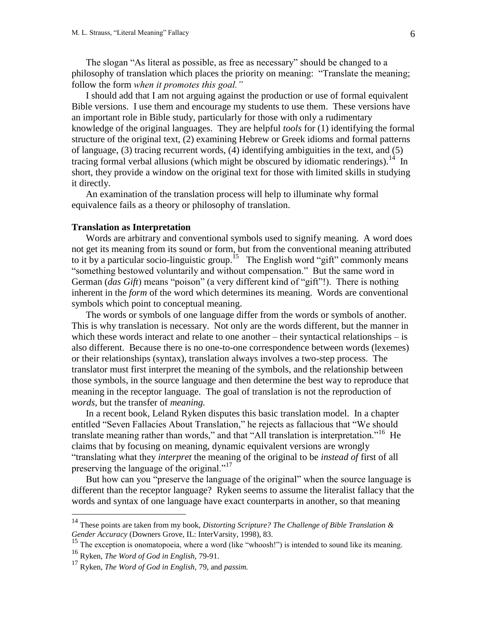The slogan "As literal as possible, as free as necessary" should be changed to a philosophy of translation which places the priority on meaning: "Translate the meaning; follow the form *when it promotes this goal."*

I should add that I am not arguing against the production or use of formal equivalent Bible versions. I use them and encourage my students to use them. These versions have an important role in Bible study, particularly for those with only a rudimentary knowledge of the original languages. They are helpful *tools* for (1) identifying the formal structure of the original text, (2) examining Hebrew or Greek idioms and formal patterns of language, (3) tracing recurrent words, (4) identifying ambiguities in the text, and (5) tracing formal verbal allusions (which might be obscured by idiomatic renderings).<sup>14</sup> In short, they provide a window on the original text for those with limited skills in studying it directly.

An examination of the translation process will help to illuminate why formal equivalence fails as a theory or philosophy of translation.

#### **Translation as Interpretation**

Words are arbitrary and conventional symbols used to signify meaning. A word does not get its meaning from its sound or form, but from the conventional meaning attributed to it by a particular socio-linguistic group.<sup>15</sup> The English word "gift" commonly means "something bestowed voluntarily and without compensation." But the same word in German (*das Gift*) means "poison" (a very different kind of "gift"!). There is nothing inherent in the *form* of the word which determines its meaning. Words are conventional symbols which point to conceptual meaning.

The words or symbols of one language differ from the words or symbols of another. This is why translation is necessary. Not only are the words different, but the manner in which these words interact and relate to one another – their syntactical relationships – is also different. Because there is no one-to-one correspondence between words (lexemes) or their relationships (syntax), translation always involves a two-step process. The translator must first interpret the meaning of the symbols, and the relationship between those symbols, in the source language and then determine the best way to reproduce that meaning in the receptor language. The goal of translation is not the reproduction of *words,* but the transfer of *meaning.*

In a recent book, Leland Ryken disputes this basic translation model. In a chapter entitled "Seven Fallacies About Translation," he rejects as fallacious that "We should translate meaning rather than words," and that "All translation is interpretation."<sup>16</sup> He claims that by focusing on meaning, dynamic equivalent versions are wrongly "translating what they *interpret* the meaning of the original to be *instead of* first of all preserving the language of the original."<sup>17</sup>

But how can you "preserve the language of the original" when the source language is different than the receptor language? Ryken seems to assume the literalist fallacy that the words and syntax of one language have exact counterparts in another, so that meaning

<sup>14</sup> These points are taken from my book, *Distorting Scripture? The Challenge of Bible Translation & Gender Accuracy* (Downers Grove, IL: InterVarsity, 1998), 83.

<sup>&</sup>lt;sup>15</sup> The exception is onomatopoeia, where a word (like "whoosh!") is intended to sound like its meaning.

<sup>16</sup> Ryken, *The Word of God in English,* 79-91.

<sup>17</sup> Ryken, *The Word of God in English,* 79, and *passim.*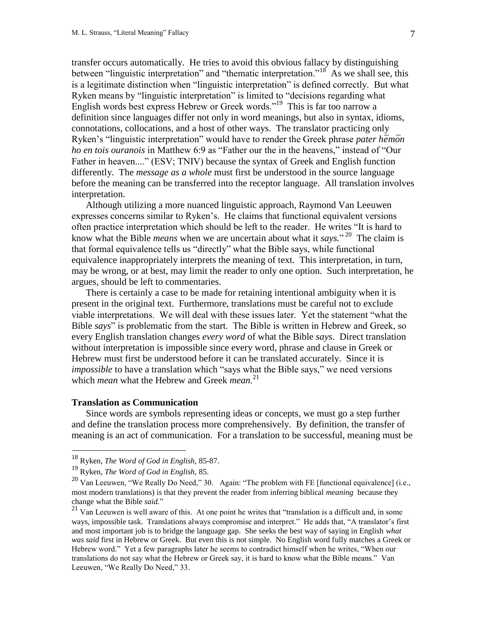transfer occurs automatically. He tries to avoid this obvious fallacy by distinguishing between "linguistic interpretation" and "thematic interpretation."<sup>18</sup> As we shall see, this is a legitimate distinction when "linguistic interpretation" is defined correctly. But what Ryken means by "linguistic interpretation" is limited to "decisions regarding what English words best express Hebrew or Greek words."<sup>19</sup> This is far too narrow a definition since languages differ not only in word meanings, but also in syntax, idioms, connotations, collocations, and a host of other ways. The translator practicing only Ryken's "linguistic interpretation" would have to render the Greek phrase *pater hēmon ho en tois ouranois* in Matthew 6:9 as "Father our the in the heavens," instead of "Our Father in heaven...." (ESV; TNIV) because the syntax of Greek and English function differently. The *message as a whole* must first be understood in the source language before the meaning can be transferred into the receptor language. All translation involves interpretation.

Although utilizing a more nuanced linguistic approach, Raymond Van Leeuwen expresses concerns similar to Ryken"s. He claims that functional equivalent versions often practice interpretation which should be left to the reader. He writes "It is hard to know what the Bible *means* when we are uncertain about what it *says*."<sup>20</sup> The claim is that formal equivalence tells us "directly" what the Bible says, while functional equivalence inappropriately interprets the meaning of text. This interpretation, in turn, may be wrong, or at best, may limit the reader to only one option. Such interpretation, he argues, should be left to commentaries.

There is certainly a case to be made for retaining intentional ambiguity when it is present in the original text. Furthermore, translations must be careful not to exclude viable interpretations. We will deal with these issues later. Yet the statement "what the Bible *says*" is problematic from the start. The Bible is written in Hebrew and Greek, so every English translation changes *every word* of what the Bible *says*. Direct translation without interpretation is impossible since every word, phrase and clause in Greek or Hebrew must first be understood before it can be translated accurately. Since it is *impossible* to have a translation which "says what the Bible says," we need versions which *mean* what the Hebrew and Greek *mean.* 21

#### **Translation as Communication**

 $\overline{a}$ 

Since words are symbols representing ideas or concepts*,* we must go a step further and define the translation process more comprehensively. By definition, the transfer of meaning is an act of communication. For a translation to be successful, meaning must be

<sup>18</sup> Ryken, *The Word of God in English,* 85-87.

<sup>19</sup> Ryken, *The Word of God in English,* 85.

<sup>&</sup>lt;sup>20</sup> Van Leeuwen, "We Really Do Need," 30. Again: "The problem with FE [functional equivalence] (i.e., most modern translations) is that they prevent the reader from inferring biblical *meaning* because they change what the Bible *said.*"

 $21$  Van Leeuwen is well aware of this. At one point he writes that "translation is a difficult and, in some ways, impossible task. Translations always compromise and interpret." He adds that, "A translator's first and most important job is to bridge the language gap. She seeks the best way of saying in English *what was said* first in Hebrew or Greek. But even this is not simple. No English word fully matches a Greek or Hebrew word." Yet a few paragraphs later he seems to contradict himself when he writes, "When our translations do not say what the Hebrew or Greek say, it is hard to know what the Bible means." Van Leeuwen, "We Really Do Need," 33.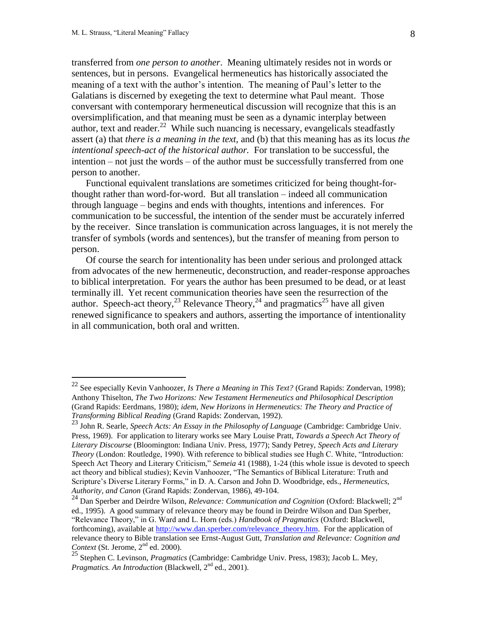$\overline{a}$ 

transferred from *one person to another*. Meaning ultimately resides not in words or sentences, but in persons. Evangelical hermeneutics has historically associated the meaning of a text with the author's intention. The meaning of Paul's letter to the Galatians is discerned by exegeting the text to determine what Paul meant. Those conversant with contemporary hermeneutical discussion will recognize that this is an oversimplification, and that meaning must be seen as a dynamic interplay between author, text and reader.<sup>22</sup> While such nuancing is necessary, evangelicals steadfastly assert (a) that *there is a meaning in the text,* and (b) that this meaning has as its locus *the intentional speech-act of the historical author.* For translation to be successful, the intention – not just the words – of the author must be successfully transferred from one person to another.

Functional equivalent translations are sometimes criticized for being thought-forthought rather than word-for-word. But all translation – indeed all communication through language – begins and ends with thoughts, intentions and inferences. For communication to be successful, the intention of the sender must be accurately inferred by the receiver. Since translation is communication across languages, it is not merely the transfer of symbols (words and sentences), but the transfer of meaning from person to person.

Of course the search for intentionality has been under serious and prolonged attack from advocates of the new hermeneutic, deconstruction, and reader-response approaches to biblical interpretation. For years the author has been presumed to be dead, or at least terminally ill. Yet recent communication theories have seen the resurrection of the author. Speech-act theory, <sup>23</sup> Relevance Theory, <sup>24</sup> and pragmatics<sup>25</sup> have all given renewed significance to speakers and authors, asserting the importance of intentionality in all communication, both oral and written.

<sup>22</sup> See especially Kevin Vanhoozer, *Is There a Meaning in This Text?* (Grand Rapids: Zondervan, 1998); Anthony Thiselton, *The Two Horizons: New Testament Hermeneutics and Philosophical Description* (Grand Rapids: Eerdmans, 1980); *idem, New Horizons in Hermeneutics: The Theory and Practice of Transforming Biblical Reading* (Grand Rapids: Zondervan, 1992).

<sup>23</sup> John R. Searle, *Speech Acts: An Essay in the Philosophy of Language* (Cambridge: Cambridge Univ. Press, 1969). For application to literary works see Mary Louise Pratt, *Towards a Speech Act Theory of Literary Discourse* (Bloomington: Indiana Univ. Press, 1977); Sandy Petrey, *Speech Acts and Literary Theory* (London: Routledge, 1990). With reference to biblical studies see Hugh C. White, "Introduction: Speech Act Theory and Literary Criticism," *Semeia* 41 (1988), 1-24 (this whole issue is devoted to speech act theory and biblical studies); Kevin Vanhoozer, "The Semantics of Biblical Literature: Truth and Scripture"s Diverse Literary Forms," in D. A. Carson and John D. Woodbridge, eds., *Hermeneutics, Authority, and Canon* (Grand Rapids: Zondervan, 1986), 49-104.

<sup>&</sup>lt;sup>24</sup> Dan Sperber and Deirdre Wilson, *Relevance: Communication and Cognition* (Oxford: Blackwell; 2<sup>nd</sup> ed., 1995). A good summary of relevance theory may be found in Deirdre Wilson and Dan Sperber, "Relevance Theory," in G. Ward and L. Horn (eds.) *Handbook of Pragmatics* (Oxford: Blackwell, forthcoming), available at [http://www.dan.sperber.com/relevance\\_theory.htm.](http://www.dan.sperber.com/relevance_theory.htm) For the application of relevance theory to Bible translation see Ernst-August Gutt, *Translation and Relevance: Cognition and Context* (St. Jerome,  $2<sup>nd</sup>$  ed. 2000).

<sup>25</sup> Stephen C. Levinson, *Pragmatics* (Cambridge: Cambridge Univ. Press, 1983); Jacob L. Mey, *Pragmatics. An Introduction* (Blackwell,  $2^{nd}$  ed., 2001).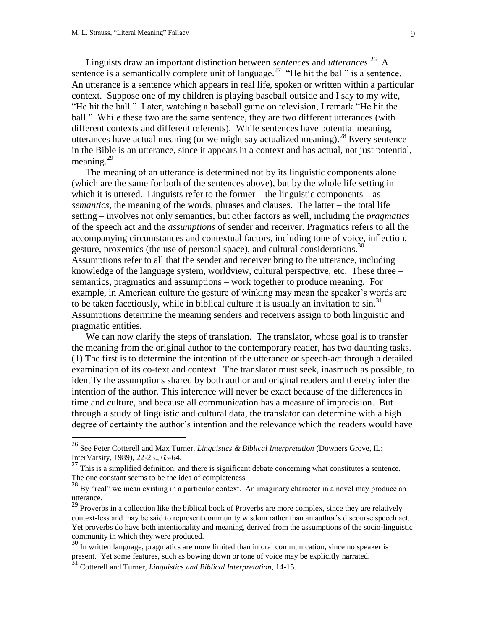Linguists draw an important distinction between *sentences* and *utterances*.<sup>26</sup> A sentence is a semantically complete unit of language.<sup>27</sup> "He hit the ball" is a sentence. An utterance is a sentence which appears in real life, spoken or written within a particular context. Suppose one of my children is playing baseball outside and I say to my wife, "He hit the ball." Later, watching a baseball game on television, I remark "He hit the ball." While these two are the same sentence, they are two different utterances (with different contexts and different referents). While sentences have potential meaning, utterances have actual meaning (or we might say actualized meaning).<sup>28</sup> Every sentence in the Bible is an utterance, since it appears in a context and has actual, not just potential, meaning. $^{29}$ 

The meaning of an utterance is determined not by its linguistic components alone (which are the same for both of the sentences above), but by the whole life setting in which it is uttered. Linguists refer to the former – the linguistic components – as *semantics,* the meaning of the words, phrases and clauses. The latter – the total life setting – involves not only semantics, but other factors as well, including the *pragmatics*  of the speech act and the *assumptions* of sender and receiver. Pragmatics refers to all the accompanying circumstances and contextual factors, including tone of voice, inflection, gesture, proxemics (the use of personal space), and cultural considerations.  $30$ Assumptions refer to all that the sender and receiver bring to the utterance, including knowledge of the language system, worldview, cultural perspective, etc. These three – semantics, pragmatics and assumptions – work together to produce meaning. For example, in American culture the gesture of winking may mean the speaker's words are to be taken facetiously, while in biblical culture it is usually an invitation to  $sin<sup>31</sup>$ Assumptions determine the meaning senders and receivers assign to both linguistic and pragmatic entities.

We can now clarify the steps of translation. The translator, whose goal is to transfer the meaning from the original author to the contemporary reader, has two daunting tasks. (1) The first is to determine the intention of the utterance or speech-act through a detailed examination of its co-text and context. The translator must seek, inasmuch as possible, to identify the assumptions shared by both author and original readers and thereby infer the intention of the author. This inference will never be exact because of the differences in time and culture, and because all communication has a measure of imprecision. But through a study of linguistic and cultural data, the translator can determine with a high degree of certainty the author's intention and the relevance which the readers would have

<sup>26</sup> See Peter Cotterell and Max Turner, *Linguistics & Biblical Interpretation* (Downers Grove, IL: InterVarsity, 1989), 22-23., 63-64.

 $27$  This is a simplified definition, and there is significant debate concerning what constitutes a sentence. The one constant seems to be the idea of completeness.

<sup>&</sup>lt;sup>28</sup> By "real" we mean existing in a particular context. An imaginary character in a novel may produce an utterance.

<sup>&</sup>lt;sup>29</sup> Proverbs in a collection like the biblical book of Proverbs are more complex, since they are relatively context-less and may be said to represent community wisdom rather than an author"s discourse speech act. Yet proverbs do have both intentionality and meaning, derived from the assumptions of the socio-linguistic community in which they were produced.

<sup>&</sup>lt;sup>30</sup> In written language, pragmatics are more limited than in oral communication, since no speaker is present. Yet some features, such as bowing down or tone of voice may be explicitly narrated.

<sup>31</sup> Cotterell and Turner, *Linguistics and Biblical Interpretation,* 14-15.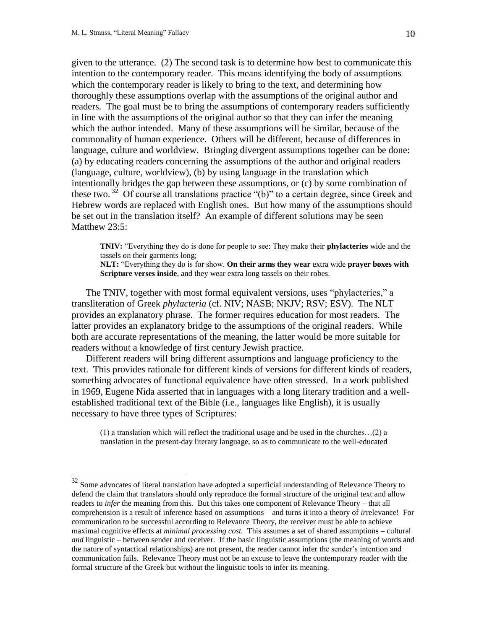$\overline{a}$ 

given to the utterance. (2) The second task is to determine how best to communicate this intention to the contemporary reader. This means identifying the body of assumptions which the contemporary reader is likely to bring to the text, and determining how thoroughly these assumptions overlap with the assumptions of the original author and readers. The goal must be to bring the assumptions of contemporary readers sufficiently in line with the assumptions of the original author so that they can infer the meaning which the author intended. Many of these assumptions will be similar, because of the commonality of human experience. Others will be different, because of differences in language, culture and worldview. Bringing divergent assumptions together can be done: (a) by educating readers concerning the assumptions of the author and original readers (language, culture, worldview), (b) by using language in the translation which intentionally bridges the gap between these assumptions, or (c) by some combination of these two.  $3^2$  Of course all translations practice "(b)" to a certain degree, since Greek and Hebrew words are replaced with English ones. But how many of the assumptions should be set out in the translation itself? An example of different solutions may be seen Matthew 23:5:

**TNIV:** "Everything they do is done for people to see: They make their **phylacteries** wide and the tassels on their garments long;

**NLT:** "Everything they do is for show. **On their arms they wear** extra wide **prayer boxes with Scripture verses inside**, and they wear extra long tassels on their robes.

The TNIV, together with most formal equivalent versions, uses "phylacteries," a transliteration of Greek *phylacteria* (cf. NIV; NASB; NKJV; RSV; ESV). The NLT provides an explanatory phrase. The former requires education for most readers. The latter provides an explanatory bridge to the assumptions of the original readers. While both are accurate representations of the meaning, the latter would be more suitable for readers without a knowledge of first century Jewish practice.

Different readers will bring different assumptions and language proficiency to the text. This provides rationale for different kinds of versions for different kinds of readers, something advocates of functional equivalence have often stressed. In a work published in 1969, Eugene Nida asserted that in languages with a long literary tradition and a wellestablished traditional text of the Bible (i.e., languages like English), it is usually necessary to have three types of Scriptures:

(1) a translation which will reflect the traditional usage and be used in the churches…(2) a translation in the present-day literary language, so as to communicate to the well-educated

 $32$  Some advocates of literal translation have adopted a superficial understanding of Relevance Theory to defend the claim that translators should only reproduce the formal structure of the original text and allow readers to *infer* the meaning from this. But this takes one component of Relevance Theory – that all comprehension is a result of inference based on assumptions – and turns it into a theory of *ir*relevance! For communication to be successful according to Relevance Theory, the receiver must be able to achieve maximal cognitive effects at *minimal processing cost.* This assumes a set of shared assumptions – cultural *and* linguistic – between sender and receiver. If the basic linguistic assumptions (the meaning of words and the nature of syntactical relationships) are not present, the reader cannot infer the sender"s intention and communication fails. Relevance Theory must not be an excuse to leave the contemporary reader with the formal structure of the Greek but without the linguistic tools to infer its meaning.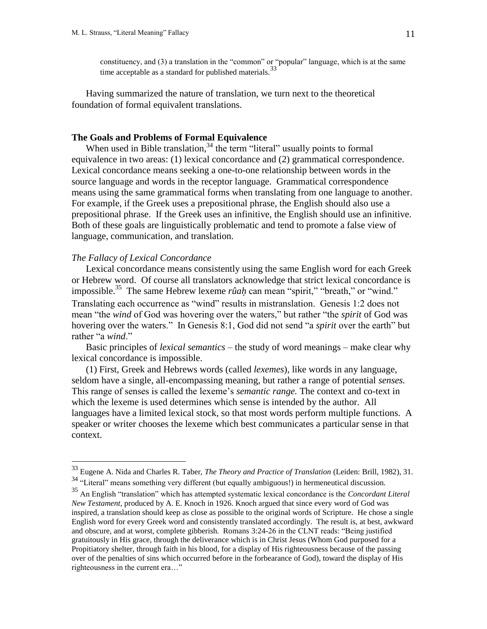constituency, and (3) a translation in the "common" or "popular" language, which is at the same time acceptable as a standard for published materials. $33$ 

Having summarized the nature of translation, we turn next to the theoretical foundation of formal equivalent translations.

## **The Goals and Problems of Formal Equivalence**

When used in Bible translation,  $34$  the term "literal" usually points to formal equivalence in two areas: (1) lexical concordance and (2) grammatical correspondence. Lexical concordance means seeking a one-to-one relationship between words in the source language and words in the receptor language. Grammatical correspondence means using the same grammatical forms when translating from one language to another. For example, if the Greek uses a prepositional phrase, the English should also use a prepositional phrase. If the Greek uses an infinitive, the English should use an infinitive. Both of these goals are linguistically problematic and tend to promote a false view of language, communication, and translation.

### *The Fallacy of Lexical Concordance*

 $\overline{a}$ 

Lexical concordance means consistently using the same English word for each Greek or Hebrew word. Of course all translators acknowledge that strict lexical concordance is impossible.<sup>35</sup> The same Hebrew lexeme *rûah* can mean "spirit," "breath," or "wind." Translating each occurrence as "wind" results in mistranslation. Genesis 1:2 does not mean "the *wind* of God was hovering over the waters," but rather "the *spirit* of God was hovering over the waters." In Genesis 8:1, God did not send "a *spirit* over the earth" but rather "a *wind*."

Basic principles of *lexical semantics –* the study of word meanings – make clear why lexical concordance is impossible.

(1) First, Greek and Hebrews words (called *lexemes*), like words in any language, seldom have a single, all-encompassing meaning, but rather a range of potential *senses.* This range of senses is called the lexeme"s *semantic range.* The context and co-text in which the lexeme is used determines which sense is intended by the author. All languages have a limited lexical stock, so that most words perform multiple functions. A speaker or writer chooses the lexeme which best communicates a particular sense in that context.

<sup>33</sup> Eugene A. Nida and Charles R. Taber, *The Theory and Practice of Translation* (Leiden: Brill, 1982), 31.

<sup>&</sup>lt;sup>34</sup> "Literal" means something very different (but equally ambiguous!) in hermeneutical discussion.

<sup>35</sup> An English "translation" which has attempted systematic lexical concordance is the *Concordant Literal New Testament,* produced by A. E. Knoch in 1926. Knoch argued that since every word of God was inspired, a translation should keep as close as possible to the original words of Scripture. He chose a single English word for every Greek word and consistently translated accordingly. The result is, at best, awkward and obscure, and at worst, complete gibberish. Romans 3:24-26 in the CLNT reads: "Being justified gratuitously in His grace, through the deliverance which is in Christ Jesus (Whom God purposed for a Propitiatory shelter, through faith in his blood, for a display of His righteousness because of the passing over of the penalties of sins which occurred before in the forbearance of God), toward the display of His righteousness in the current era…"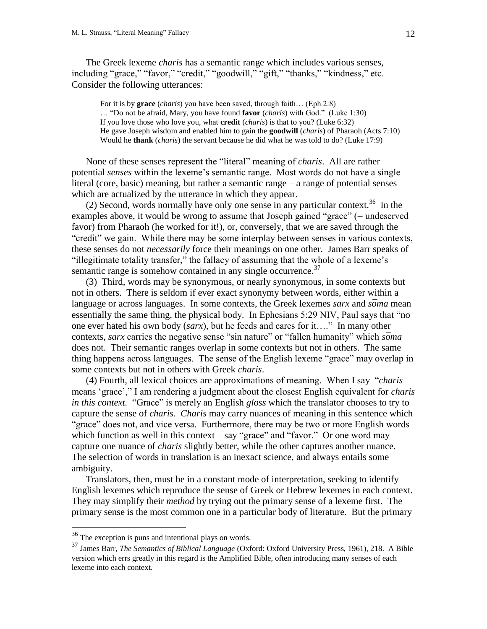The Greek lexeme *charis* has a semantic range which includes various senses, including "grace," "favor," "credit," "goodwill," "gift," "thanks," "kindness," etc. Consider the following utterances:

For it is by **grace** (*charis*) you have been saved, through faith… (Eph 2:8) … "Do not be afraid, Mary, you have found **favor** (*charis*) with God." (Luke 1:30) If you love those who love you, what **credit** (*charis*) is that to you? (Luke 6:32) He gave Joseph wisdom and enabled him to gain the **goodwill** (*charis*) of Pharaoh (Acts 7:10) Would he **thank** (*charis*) the servant because he did what he was told to do? (Luke 17:9)

None of these senses represent the "literal" meaning of *charis*. All are rather potential *senses* within the lexeme"s semantic range. Most words do not have a single literal (core, basic) meaning, but rather a semantic range – a range of potential senses which are actualized by the utterance in which they appear.

 $(2)$  Second, words normally have only one sense in any particular context.<sup>36</sup> In the examples above, it would be wrong to assume that Joseph gained "grace" (= undeserved favor) from Pharaoh (he worked for it!), or, conversely, that we are saved through the "credit" we gain. While there may be some interplay between senses in various contexts, these senses do not *necessarily* force their meanings on one other. James Barr speaks of "illegitimate totality transfer," the fallacy of assuming that the whole of a lexeme"s semantic range is somehow contained in any single occurrence. $37$ 

(3) Third, words may be synonymous, or nearly synonymous, in some contexts but not in others. There is seldom if ever exact synonymy between words, either within a language or across languages. In some contexts, the Greek lexemes *sarx* and *soma* mean essentially the same thing, the physical body. In Ephesians 5:29 NIV, Paul says that "no one ever hated his own body (*sarx*), but he feeds and cares for it…." In many other contexts, *sarx* carries the negative sense "sin nature" or "fallen humanity" which *soma* does not. Their semantic ranges overlap in some contexts but not in others. The same thing happens across languages. The sense of the English lexeme "grace" may overlap in some contexts but not in others with Greek *charis*.

(4) Fourth, all lexical choices are approximations of meaning. When I say "*charis* means "grace"," I am rendering a judgment about the closest English equivalent for *charis in this context.* "Grace" is merely an English *gloss* which the translator chooses to try to capture the sense of *charis. Charis* may carry nuances of meaning in this sentence which "grace" does not, and vice versa. Furthermore, there may be two or more English words which function as well in this context – say "grace" and "favor." Or one word may capture one nuance of *charis* slightly better, while the other captures another nuance. The selection of words in translation is an inexact science, and always entails some ambiguity.

Translators, then, must be in a constant mode of interpretation, seeking to identify English lexemes which reproduce the sense of Greek or Hebrew lexemes in each context. They may simplify their *method* by trying out the primary sense of a lexeme first. The primary sense is the most common one in a particular body of literature. But the primary

 $36$  The exception is puns and intentional plays on words.

<sup>37</sup> James Barr, *The Semantics of Biblical Language* (Oxford: Oxford University Press, 1961), 218. A Bible version which errs greatly in this regard is the Amplified Bible, often introducing many senses of each lexeme into each context.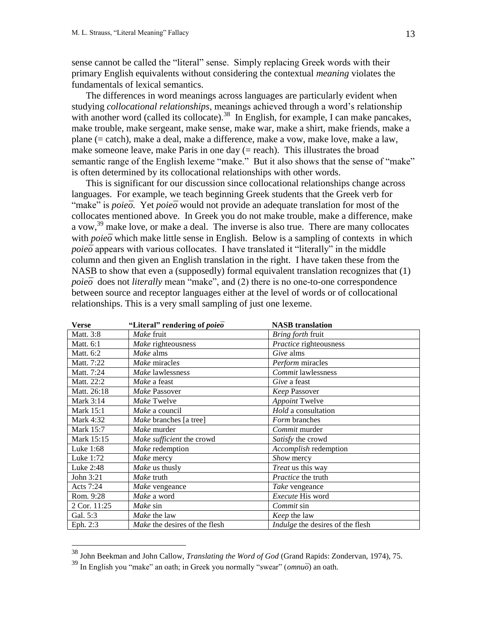sense cannot be called the "literal" sense. Simply replacing Greek words with their primary English equivalents without considering the contextual *meaning* violates the fundamentals of lexical semantics.

The differences in word meanings across languages are particularly evident when studying *collocational relationships*, meanings achieved through a word"s relationship with another word (called its collocate).<sup>38</sup> In English, for example, I can make pancakes, make trouble, make sergeant, make sense, make war, make a shirt, make friends, make a plane (= catch), make a deal, make a difference, make a vow, make love, make a law, make someone leave, make Paris in one day  $(= reach)$ . This illustrates the broad semantic range of the English lexeme "make." But it also shows that the sense of "make" is often determined by its collocational relationships with other words.

This is significant for our discussion since collocational relationships change across languages. For example, we teach beginning Greek students that the Greek verb for "make" is *poieō*. Yet *poieō* would not provide an adequate translation for most of the collocates mentioned above. In Greek you do not make trouble, make a difference, make a vow,<sup>39</sup> make love, or make a deal. The inverse is also true. There are many collocates with *poieō* which make little sense in English. Below is a sampling of contexts in which poie<sub>o</sub> appears with various collocates. I have translated it "literally" in the middle column and then given an English translation in the right. I have taken these from the NASB to show that even a (supposedly) formal equivalent translation recognizes that (1)  $poie\bar{o}$  does not *literally* mean "make", and (2) there is no one-to-one correspondence between source and receptor languages either at the level of words or of collocational relationships. This is a very small sampling of just one lexeme.

| <b>Verse</b>     | "Literal" rendering of <i>poie</i> <sub>0</sub> | <b>NASB</b> translation                 |
|------------------|-------------------------------------------------|-----------------------------------------|
| Matt. 3:8        | Make fruit                                      | Bring forth fruit                       |
| Matt. 6:1        | Make righteousness                              | Practice righteousness                  |
| Matt. 6:2        | Make alms                                       | Give alms                               |
| Matt. 7:22       | Make miracles                                   | Perform miracles                        |
| Matt. 7:24       | Make lawlessness                                | Commit lawlessness                      |
| Matt. 22:2       | Make a feast                                    | Give a feast                            |
| Matt. 26:18      | Make Passover                                   | Keep Passover                           |
| Mark 3:14        | Make Twelve                                     | Appoint Twelve                          |
| <b>Mark 15:1</b> | Make a council                                  | Hold a consultation                     |
| <b>Mark 4:32</b> | Make branches [a tree]                          | Form branches                           |
| <b>Mark 15:7</b> | Make murder                                     | Commit murder                           |
| Mark 15:15       | Make sufficient the crowd                       | Satisfy the crowd                       |
| Luke 1:68        | Make redemption                                 | Accomplish redemption                   |
| Luke 1:72        | Make mercy                                      | Show mercy                              |
| Luke 2:48        | Make us thusly                                  | Treat us this way                       |
| John 3:21        | Make truth                                      | Practice the truth                      |
| Acts 7:24        | Make vengeance                                  | Take vengeance                          |
| Rom. 9:28        | Make a word                                     | Execute His word                        |
| 2 Cor. 11:25     | Make sin                                        | Commit sin                              |
| Gal. 5:3         | Make the law                                    | Keep the law                            |
| Eph. 2:3         | <i>Make</i> the desires of the flesh            | <i>Indulge</i> the desires of the flesh |

<sup>38</sup> John Beekman and John Callow, *Translating the Word of God* (Grand Rapids: Zondervan, 1974), 75.

 $39$  In English you "make" an oath; in Greek you normally "swear" (*omnuo*) an oath.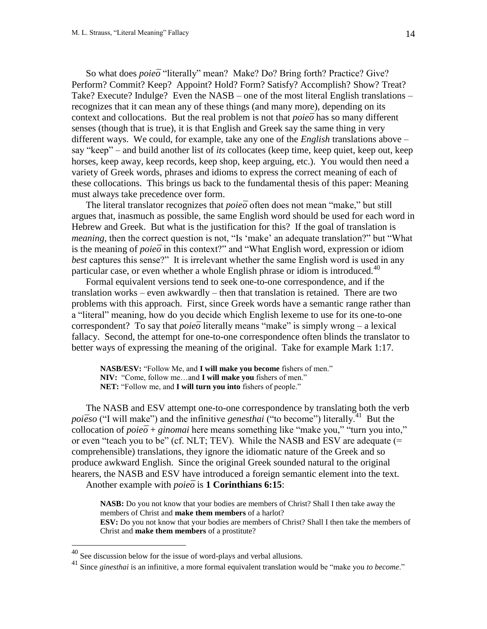So what does *poieo¯* "literally" mean? Make? Do? Bring forth? Practice? Give? Perform? Commit? Keep? Appoint? Hold? Form? Satisfy? Accomplish? Show? Treat? Take? Execute? Indulge? Even the NASB – one of the most literal English translations – recognizes that it can mean any of these things (and many more), depending on its context and collocations. But the real problem is not that *poie*<sup> $\bar{o}$ </sup> has so many different senses (though that is true), it is that English and Greek say the same thing in very different ways. We could, for example, take any one of the *English* translations above – say "keep" – and build another list of *its* collocates (keep time, keep quiet, keep out, keep horses, keep away, keep records, keep shop, keep arguing, etc.). You would then need a variety of Greek words, phrases and idioms to express the correct meaning of each of these collocations. This brings us back to the fundamental thesis of this paper: Meaning must always take precedence over form.

The literal translator recognizes that *poie*<sup>0</sup> often does not mean "make," but still argues that, inasmuch as possible, the same English word should be used for each word in Hebrew and Greek. But what is the justification for this? If the goal of translation is *meaning*, then the correct question is not, "Is 'make' an adequate translation?" but "What is the meaning of *poie*<sup> $\bar{o}$ </sup> in this context?" and "What English word, expression or idiom *best* captures this sense?" It is irrelevant whether the same English word is used in any particular case, or even whether a whole English phrase or idiom is introduced.<sup>40</sup>

Formal equivalent versions tend to seek one-to-one correspondence, and if the translation works – even awkwardly – then that translation is retained. There are two problems with this approach. First, since Greek words have a semantic range rather than a "literal" meaning, how do you decide which English lexeme to use for its one-to-one correspondent? To say that *poieo¯* literally means "make" is simply wrong – a lexical fallacy. Second, the attempt for one-to-one correspondence often blinds the translator to better ways of expressing the meaning of the original. Take for example Mark 1:17.

**NASB/ESV:** "Follow Me, and **I will make you become** fishers of men." **NIV:** "Come, follow me…and **I will make you** fishers of men." **NET:** "Follow me, and **I will turn you into** fishers of people."

The NASB and ESV attempt one-to-one correspondence by translating both the verb poiēso ("I will make") and the infinitive *genesthai* ("to become") literally.<sup>41</sup> But the collocation of  $poie\bar{o} + ginomai$  here means something like "make you," "turn you into," or even "teach you to be" (cf. NLT; TEV). While the NASB and ESV are adequate (= comprehensible) translations, they ignore the idiomatic nature of the Greek and so produce awkward English. Since the original Greek sounded natural to the original hearers, the NASB and ESV have introduced a foreign semantic element into the text. Another example with *poie*<sup> $\bar{o}$ </sup> is **1 Corinthians 6:15**:

**NASB:** Do you not know that your bodies are members of Christ? Shall I then take away the members of Christ and **make them members** of a harlot? **ESV:** Do you not know that your bodies are members of Christ? Shall I then take the members of Christ and **make them members** of a prostitute?

 $^{40}$  See discussion below for the issue of word-plays and verbal allusions.

<sup>41</sup> Since *ginesthai* is an infinitive, a more formal equivalent translation would be "make you *to become*."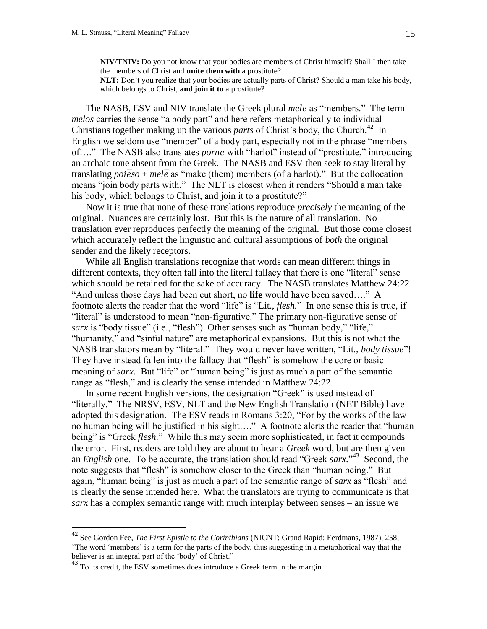**NIV/TNIV:** Do you not know that your bodies are members of Christ himself? Shall I then take the members of Christ and **unite them with** a prostitute? **NLT:** Don't you realize that your bodies are actually parts of Christ? Should a man take his body, which belongs to Christ, **and join it to** a prostitute?

The NASB, ESV and NIV translate the Greek plural *melē* as "members." The term *melos* carries the sense "a body part" and here refers metaphorically to individual Christians together making up the various *parts* of Christ's body, the Church.<sup>42</sup> In English we seldom use "member" of a body part, especially not in the phrase "members of...." The NASB also translates *porne* with "harlot" instead of "prostitute," introducing an archaic tone absent from the Greek. The NASB and ESV then seek to stay literal by translating  $poi\bar{e}so + mel\bar{e}$  as "make (them) members (of a harlot)." But the collocation means "join body parts with." The NLT is closest when it renders "Should a man take his body, which belongs to Christ, and join it to a prostitute?"

Now it is true that none of these translations reproduce *precisely* the meaning of the original. Nuances are certainly lost. But this is the nature of all translation. No translation ever reproduces perfectly the meaning of the original. But those come closest which accurately reflect the linguistic and cultural assumptions of *both* the original sender and the likely receptors.

While all English translations recognize that words can mean different things in different contexts, they often fall into the literal fallacy that there is one "literal" sense which should be retained for the sake of accuracy. The NASB translates Matthew 24:22 "And unless those days had been cut short, no **life** would have been saved…." A footnote alerts the reader that the word "life" is "Lit., *flesh.*" In one sense this is true, if "literal" is understood to mean "non-figurative." The primary non-figurative sense of *sarx* is "body tissue" (i.e., "flesh"). Other senses such as "human body," "life," "humanity," and "sinful nature" are metaphorical expansions. But this is not what the NASB translators mean by "literal." They would never have written, "Lit., *body tissue*"! They have instead fallen into the fallacy that "flesh" is somehow the core or basic meaning of *sarx*. But "life" or "human being" is just as much a part of the semantic range as "flesh," and is clearly the sense intended in Matthew 24:22.

In some recent English versions, the designation "Greek" is used instead of "literally." The NRSV, ESV, NLT and the New English Translation (NET Bible) have adopted this designation. The ESV reads in Romans 3:20, "For by the works of the law no human being will be justified in his sight…." A footnote alerts the reader that "human being" is "Greek *flesh*." While this may seem more sophisticated, in fact it compounds the error. First, readers are told they are about to hear a *Greek* word, but are then given an *English* one. To be accurate, the translation should read "Greek *sarx.*" <sup>43</sup> Second, the note suggests that "flesh" is somehow closer to the Greek than "human being." But again, "human being" is just as much a part of the semantic range of *sarx* as "flesh" and is clearly the sense intended here. What the translators are trying to communicate is that *sarx* has a complex semantic range with much interplay between senses – an issue we

<sup>42</sup> See Gordon Fee, *The First Epistle to the Corinthians* (NICNT; Grand Rapid: Eerdmans, 1987), 258; "The word 'members' is a term for the parts of the body, thus suggesting in a metaphorical way that the believer is an integral part of the "body" of Christ."

<sup>&</sup>lt;sup>43</sup> To its credit, the ESV sometimes does introduce a Greek term in the margin.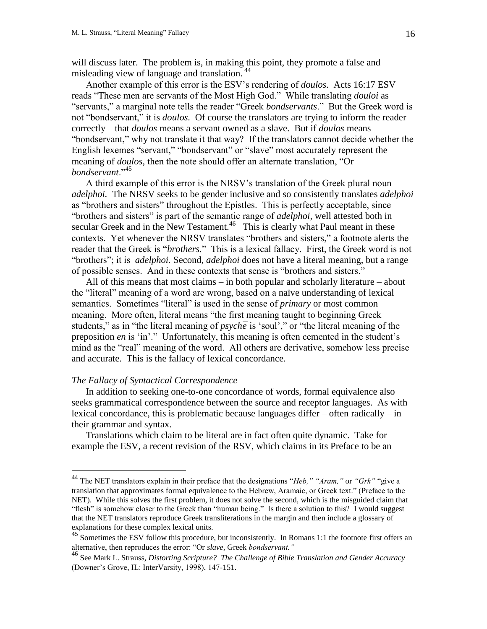will discuss later. The problem is, in making this point, they promote a false and misleading view of language and translation.<sup>44</sup>

Another example of this error is the ESV"s rendering of *doulos.* Acts 16:17 ESV reads "These men are servants of the Most High God." While translating *douloi* as "servants," a marginal note tells the reader "Greek *bondservants*." But the Greek word is not "bondservant," it is *doulos.* Of course the translators are trying to inform the reader – correctly – that *doulos* means a servant owned as a slave. But if *doulos* means "bondservant," why not translate it that way? If the translators cannot decide whether the English lexemes "servant," "bondservant" or "slave" most accurately represent the meaning of *doulos,* then the note should offer an alternate translation, "Or *bondservant*."<sup>45</sup>

A third example of this error is the NRSV"s translation of the Greek plural noun *adelphoi.* The NRSV seeks to be gender inclusive and so consistently translates *adelphoi*  as "brothers and sisters" throughout the Epistles. This is perfectly acceptable, since "brothers and sisters" is part of the semantic range of *adelphoi,* well attested both in secular Greek and in the New Testament.<sup>46</sup> This is clearly what Paul meant in these contexts. Yet whenever the NRSV translates "brothers and sisters," a footnote alerts the reader that the Greek is "*brothers.*" This is a lexical fallacy. First, the Greek word is not "brothers"; it is *adelphoi.* Second, *adelphoi* does not have a literal meaning, but a range of possible senses. And in these contexts that sense is "brothers and sisters."

All of this means that most claims – in both popular and scholarly literature – about the "literal" meaning of a word are wrong, based on a naïve understanding of lexical semantics. Sometimes "literal" is used in the sense of *primary* or most common meaning. More often, literal means "the first meaning taught to beginning Greek students," as in "the literal meaning of  $p<sub>s</sub>$ *ych* $\bar{e}$  is 'soul'," or "the literal meaning of the preposition *en* is 'in'." Unfortunately, this meaning is often cemented in the student's mind as the "real" meaning of the word. All others are derivative, somehow less precise and accurate. This is the fallacy of lexical concordance.

### *The Fallacy of Syntactical Correspondence*

 $\overline{a}$ 

In addition to seeking one-to-one concordance of words, formal equivalence also seeks grammatical correspondence between the source and receptor languages. As with lexical concordance, this is problematic because languages differ – often radically – in their grammar and syntax.

Translations which claim to be literal are in fact often quite dynamic. Take for example the ESV, a recent revision of the RSV, which claims in its Preface to be an

<sup>44</sup> The NET translators explain in their preface that the designations "*Heb," "Aram,"* or *"Grk"* "give a translation that approximates formal equivalence to the Hebrew, Aramaic, or Greek text." (Preface to the NET). While this solves the first problem, it does not solve the second, which is the misguided claim that "flesh" is somehow closer to the Greek than "human being." Is there a solution to this? I would suggest that the NET translators reproduce Greek transliterations in the margin and then include a glossary of explanations for these complex lexical units.

<sup>&</sup>lt;sup>45</sup> Sometimes the ESV follow this procedure, but inconsistently. In Romans 1:1 the footnote first offers an alternative, then reproduces the error: "Or *slave,* Greek *bondservant."*

<sup>46</sup> See Mark L. Strauss, *Distorting Scripture? The Challenge of Bible Translation and Gender Accuracy* (Downer"s Grove, IL: InterVarsity, 1998), 147-151.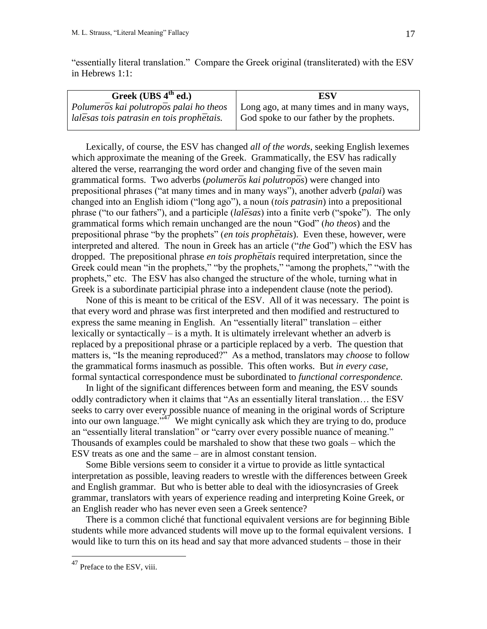"essentially literal translation." Compare the Greek original (transliterated) with the ESV in Hebrews 1:1:

| Greek (UBS 4 <sup>th</sup> ed.)           | ESV                                                                                        |
|-------------------------------------------|--------------------------------------------------------------------------------------------|
|                                           | <i>Polumeros kai polutropos palai ho theos</i>   Long ago, at many times and in many ways, |
| lalesas tois patrasin en tois prophetais. | God spoke to our father by the prophets.                                                   |

Lexically, of course, the ESV has changed *all of the words*, seeking English lexemes which approximate the meaning of the Greek. Grammatically, the ESV has radically altered the verse, rearranging the word order and changing five of the seven main grammatical forms. Two adverbs (*polumeros kai polutropos*) were changed into prepositional phrases ("at many times and in many ways"), another adverb (*palai*) was changed into an English idiom ("long ago"), a noun (*tois patrasin*) into a prepositional phrase ("to our fathers"), and a participle *(lalēsas)* into a finite verb ("spoke"). The only grammatical forms which remain unchanged are the noun "God" (*ho theos*) and the prepositional phrase "by the prophets" (*en tois prophētais*). Even these, however, were interpreted and altered. The noun in Greek has an article ("*the* God") which the ESV has dropped. The prepositional phrase *en tois prophētais* required interpretation, since the Greek could mean "in the prophets," "by the prophets," "among the prophets," "with the prophets," etc. The ESV has also changed the structure of the whole, turning what in Greek is a subordinate participial phrase into a independent clause (note the period).

None of this is meant to be critical of the ESV. All of it was necessary. The point is that every word and phrase was first interpreted and then modified and restructured to express the same meaning in English. An "essentially literal" translation – either lexically or syntactically – is a myth. It is ultimately irrelevant whether an adverb is replaced by a prepositional phrase or a participle replaced by a verb. The question that matters is, "Is the meaning reproduced?" As a method, translators may *choose* to follow the grammatical forms inasmuch as possible. This often works. But *in every case,* formal syntactical correspondence must be subordinated to *functional correspondence.*

In light of the significant differences between form and meaning, the ESV sounds oddly contradictory when it claims that "As an essentially literal translation… the ESV seeks to carry over every possible nuance of meaning in the original words of Scripture into our own language." $47$  We might cynically ask which they are trying to do, produce an "essentially literal translation" or "carry over every possible nuance of meaning." Thousands of examples could be marshaled to show that these two goals – which the ESV treats as one and the same – are in almost constant tension.

Some Bible versions seem to consider it a virtue to provide as little syntactical interpretation as possible, leaving readers to wrestle with the differences between Greek and English grammar. But who is better able to deal with the idiosyncrasies of Greek grammar, translators with years of experience reading and interpreting Koine Greek, or an English reader who has never even seen a Greek sentence?

There is a common cliché that functional equivalent versions are for beginning Bible students while more advanced students will move up to the formal equivalent versions. I would like to turn this on its head and say that more advanced students – those in their

<sup>&</sup>lt;sup>47</sup> Preface to the ESV, viii.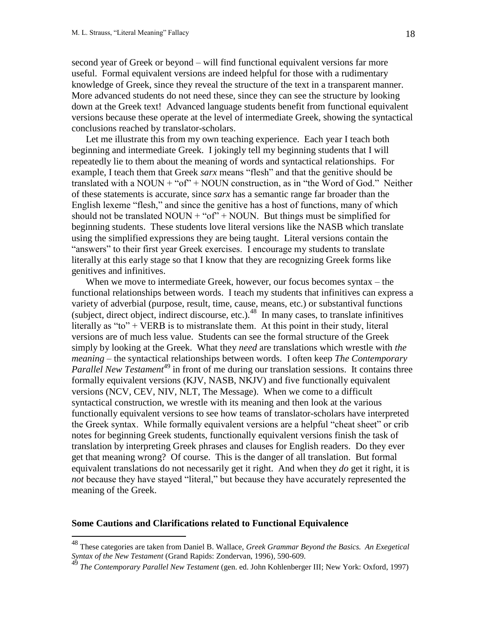second year of Greek or beyond – will find functional equivalent versions far more useful. Formal equivalent versions are indeed helpful for those with a rudimentary knowledge of Greek, since they reveal the structure of the text in a transparent manner. More advanced students do not need these, since they can see the structure by looking down at the Greek text! Advanced language students benefit from functional equivalent versions because these operate at the level of intermediate Greek, showing the syntactical conclusions reached by translator-scholars.

Let me illustrate this from my own teaching experience. Each year I teach both beginning and intermediate Greek. I jokingly tell my beginning students that I will repeatedly lie to them about the meaning of words and syntactical relationships. For example, I teach them that Greek *sarx* means "flesh" and that the genitive should be translated with a NOUN + " $of$ " + NOUN construction, as in "the Word of God." Neither of these statements is accurate, since *sarx* has a semantic range far broader than the English lexeme "flesh," and since the genitive has a host of functions, many of which should not be translated  $NOUN + "of" + NOUN$ . But things must be simplified for beginning students. These students love literal versions like the NASB which translate using the simplified expressions they are being taught. Literal versions contain the "answers" to their first year Greek exercises. I encourage my students to translate literally at this early stage so that I know that they are recognizing Greek forms like genitives and infinitives.

When we move to intermediate Greek, however, our focus becomes syntax – the functional relationships between words. I teach my students that infinitives can express a variety of adverbial (purpose, result, time, cause, means, etc.) or substantival functions (subject, direct object, indirect discourse, etc.). $^{48}$  In many cases, to translate infinitives literally as "to" + VERB is to mistranslate them. At this point in their study, literal versions are of much less value. Students can see the formal structure of the Greek simply by looking at the Greek. What they *need* are translations which wrestle with *the meaning –* the syntactical relationships between words. I often keep *The Contemporary Parallel New Testament*<sup>49</sup> in front of me during our translation sessions. It contains three formally equivalent versions (KJV, NASB, NKJV) and five functionally equivalent versions (NCV, CEV, NIV, NLT, The Message). When we come to a difficult syntactical construction, we wrestle with its meaning and then look at the various functionally equivalent versions to see how teams of translator-scholars have interpreted the Greek syntax. While formally equivalent versions are a helpful "cheat sheet" or crib notes for beginning Greek students, functionally equivalent versions finish the task of translation by interpreting Greek phrases and clauses for English readers. Do they ever get that meaning wrong? Of course. This is the danger of all translation. But formal equivalent translations do not necessarily get it right. And when they *do* get it right, it is *not* because they have stayed "literal," but because they have accurately represented the meaning of the Greek.

#### **Some Cautions and Clarifications related to Functional Equivalence**

<sup>48</sup> These categories are taken from Daniel B. Wallace, *Greek Grammar Beyond the Basics. An Exegetical Syntax of the New Testament* (Grand Rapids: Zondervan, 1996)*,* 590-609.

<sup>49</sup> *The Contemporary Parallel New Testament* (gen. ed. John Kohlenberger III; New York: Oxford, 1997)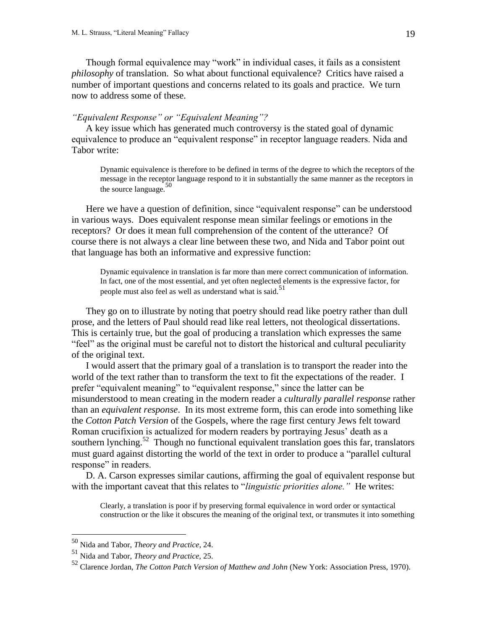Though formal equivalence may "work" in individual cases, it fails as a consistent *philosophy* of translation. So what about functional equivalence? Critics have raised a number of important questions and concerns related to its goals and practice. We turn now to address some of these.

#### *"Equivalent Response" or "Equivalent Meaning"?*

A key issue which has generated much controversy is the stated goal of dynamic equivalence to produce an "equivalent response" in receptor language readers. Nida and Tabor write:

Dynamic equivalence is therefore to be defined in terms of the degree to which the receptors of the message in the receptor language respond to it in substantially the same manner as the receptors in the source language.  $50$ 

Here we have a question of definition, since "equivalent response" can be understood in various ways. Does equivalent response mean similar feelings or emotions in the receptors? Or does it mean full comprehension of the content of the utterance? Of course there is not always a clear line between these two, and Nida and Tabor point out that language has both an informative and expressive function:

Dynamic equivalence in translation is far more than mere correct communication of information. In fact, one of the most essential, and yet often neglected elements is the expressive factor, for people must also feel as well as understand what is said.<sup>51</sup>

They go on to illustrate by noting that poetry should read like poetry rather than dull prose, and the letters of Paul should read like real letters, not theological dissertations. This is certainly true, but the goal of producing a translation which expresses the same "feel" as the original must be careful not to distort the historical and cultural peculiarity of the original text.

I would assert that the primary goal of a translation is to transport the reader into the world of the text rather than to transform the text to fit the expectations of the reader. I prefer "equivalent meaning" to "equivalent response," since the latter can be misunderstood to mean creating in the modern reader a *culturally parallel response* rather than an *equivalent response*. In its most extreme form, this can erode into something like the *Cotton Patch Version* of the Gospels, where the rage first century Jews felt toward Roman crucifixion is actualized for modern readers by portraying Jesus' death as a southern lynching.<sup>52</sup> Though no functional equivalent translation goes this far, translators must guard against distorting the world of the text in order to produce a "parallel cultural response" in readers.

D. A. Carson expresses similar cautions, affirming the goal of equivalent response but with the important caveat that this relates to "*linguistic priorities alone*." He writes:

Clearly, a translation is poor if by preserving formal equivalence in word order or syntactical construction or the like it obscures the meaning of the original text, or transmutes it into something

<sup>50</sup> Nida and Tabor, *Theory and Practice*, 24.

<sup>51</sup> Nida and Tabor, *Theory and Practice,* 25.

<sup>52</sup> Clarence Jordan, *The Cotton Patch Version of Matthew and John* (New York: Association Press, 1970).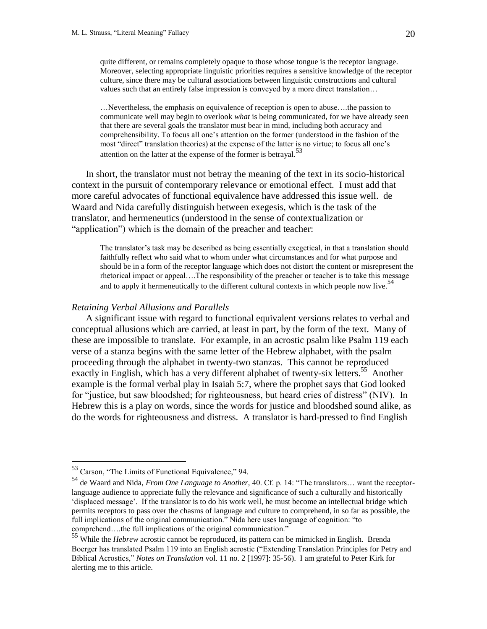quite different, or remains completely opaque to those whose tongue is the receptor language. Moreover, selecting appropriate linguistic priorities requires a sensitive knowledge of the receptor culture, since there may be cultural associations between linguistic constructions and cultural values such that an entirely false impression is conveyed by a more direct translation…

…Nevertheless, the emphasis on equivalence of reception is open to abuse….the passion to communicate well may begin to overlook *what* is being communicated, for we have already seen that there are several goals the translator must bear in mind, including both accuracy and comprehensibility. To focus all one"s attention on the former (understood in the fashion of the most "direct" translation theories) at the expense of the latter is no virtue; to focus all one"s attention on the latter at the expense of the former is betrayal.<sup>53</sup>

In short, the translator must not betray the meaning of the text in its socio-historical context in the pursuit of contemporary relevance or emotional effect. I must add that more careful advocates of functional equivalence have addressed this issue well. de Waard and Nida carefully distinguish between exegesis, which is the task of the translator, and hermeneutics (understood in the sense of contextualization or "application") which is the domain of the preacher and teacher:

The translator's task may be described as being essentially exegetical, in that a translation should faithfully reflect who said what to whom under what circumstances and for what purpose and should be in a form of the receptor language which does not distort the content or misrepresent the rhetorical impact or appeal….The responsibility of the preacher or teacher is to take this message and to apply it hermeneutically to the different cultural contexts in which people now live.<sup>54</sup>

### *Retaining Verbal Allusions and Parallels*

A significant issue with regard to functional equivalent versions relates to verbal and conceptual allusions which are carried, at least in part, by the form of the text. Many of these are impossible to translate. For example, in an acrostic psalm like Psalm 119 each verse of a stanza begins with the same letter of the Hebrew alphabet, with the psalm proceeding through the alphabet in twenty-two stanzas. This cannot be reproduced exactly in English, which has a very different alphabet of twenty-six letters.<sup>55</sup> Another example is the formal verbal play in Isaiah 5:7, where the prophet says that God looked for "justice, but saw bloodshed; for righteousness, but heard cries of distress" (NIV). In Hebrew this is a play on words, since the words for justice and bloodshed sound alike, as do the words for righteousness and distress. A translator is hard-pressed to find English

<sup>53</sup> Carson, "The Limits of Functional Equivalence," 94.

<sup>54</sup> de Waard and Nida, *From One Language to Another,* 40. Cf. p. 14: "The translators… want the receptorlanguage audience to appreciate fully the relevance and significance of such a culturally and historically "displaced message". If the translator is to do his work well, he must become an intellectual bridge which permits receptors to pass over the chasms of language and culture to comprehend, in so far as possible, the full implications of the original communication." Nida here uses language of cognition: "to comprehend….the full implications of the original communication."

<sup>55</sup> While the *Hebrew* acrostic cannot be reproduced, its pattern can be mimicked in English. Brenda Boerger has translated Psalm 119 into an English acrostic ("Extending Translation Principles for Petry and Biblical Acrostics," *Notes on Translation* vol. 11 no. 2 [1997]: 35-56). I am grateful to Peter Kirk for alerting me to this article.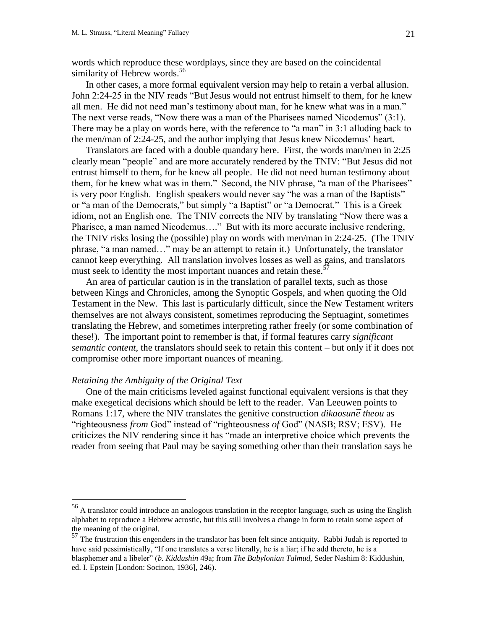words which reproduce these wordplays, since they are based on the coincidental similarity of Hebrew words.<sup>56</sup>

In other cases, a more formal equivalent version may help to retain a verbal allusion. John 2:24-25 in the NIV reads "But Jesus would not entrust himself to them, for he knew all men. He did not need man"s testimony about man, for he knew what was in a man." The next verse reads, "Now there was a man of the Pharisees named Nicodemus" (3:1). There may be a play on words here, with the reference to "a man" in 3:1 alluding back to the men/man of 2:24-25, and the author implying that Jesus knew Nicodemus' heart.

Translators are faced with a double quandary here. First, the words man/men in 2:25 clearly mean "people" and are more accurately rendered by the TNIV: "But Jesus did not entrust himself to them, for he knew all people. He did not need human testimony about them, for he knew what was in them." Second, the NIV phrase, "a man of the Pharisees" is very poor English. English speakers would never say "he was a man of the Baptists" or "a man of the Democrats," but simply "a Baptist" or "a Democrat." This is a Greek idiom, not an English one. The TNIV corrects the NIV by translating "Now there was a Pharisee, a man named Nicodemus…." But with its more accurate inclusive rendering, the TNIV risks losing the (possible) play on words with men/man in 2:24-25. (The TNIV phrase, "a man named…" may be an attempt to retain it.) Unfortunately, the translator cannot keep everything. All translation involves losses as well as gains, and translators must seek to identity the most important nuances and retain these.<sup>57</sup>

An area of particular caution is in the translation of parallel texts, such as those between Kings and Chronicles, among the Synoptic Gospels, and when quoting the Old Testament in the New. This last is particularly difficult, since the New Testament writers themselves are not always consistent, sometimes reproducing the Septuagint, sometimes translating the Hebrew, and sometimes interpreting rather freely (or some combination of these!). The important point to remember is that, if formal features carry *significant semantic content,* the translators should seek to retain this content – but only if it does not compromise other more important nuances of meaning.

#### *Retaining the Ambiguity of the Original Text*

 $\overline{a}$ 

One of the main criticisms leveled against functional equivalent versions is that they make exegetical decisions which should be left to the reader. Van Leeuwen points to Romans 1:17, where the NIV translates the genitive construction *dikaosune theou* as "righteousness *from* God" instead of "righteousness *of* God" (NASB; RSV; ESV). He criticizes the NIV rendering since it has "made an interpretive choice which prevents the reader from seeing that Paul may be saying something other than their translation says he

<sup>&</sup>lt;sup>56</sup> A translator could introduce an analogous translation in the receptor language, such as using the English alphabet to reproduce a Hebrew acrostic, but this still involves a change in form to retain some aspect of the meaning of the original.

<sup>&</sup>lt;sup>57</sup> The frustration this engenders in the translator has been felt since antiquity. Rabbi Judah is reported to have said pessimistically, "If one translates a verse literally, he is a liar; if he add thereto, he is a blasphemer and a libeler" (*b. Kiddushin* 49a; from *The Babylonian Talmud,* Seder Nashim 8: Kiddushin, ed. I. Epstein [London: Socinon, 1936], 246).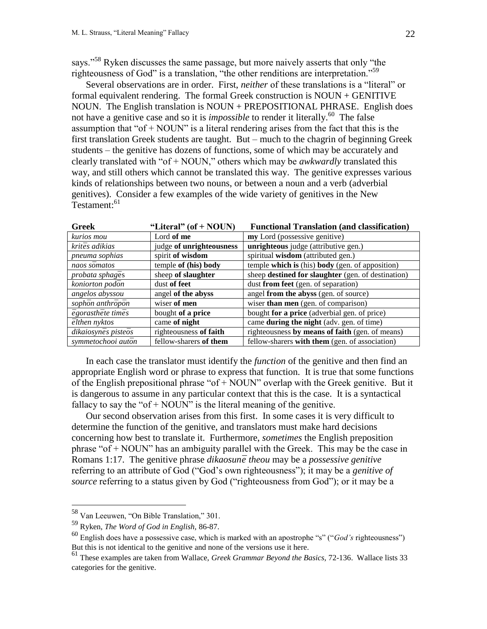says."<sup>58</sup> Ryken discusses the same passage, but more naively asserts that only "the righteousness of God" is a translation, "the other renditions are interpretation."<sup>59</sup>

Several observations are in order. First, *neither* of these translations is a "literal" or formal equivalent rendering. The formal Greek construction is NOUN + GENITIVE NOUN. The English translation is NOUN + PREPOSITIONAL PHRASE. English does not have a genitive case and so it is *impossible* to render it literally.<sup>60</sup> The false assumption that " $of + NOUN$ " is a literal rendering arises from the fact that this is the first translation Greek students are taught. But – much to the chagrin of beginning Greek students – the genitive has dozens of functions, some of which may be accurately and clearly translated with "of + NOUN," others which may be *awkwardly* translated this way, and still others which cannot be translated this way. The genitive expresses various kinds of relationships between two nouns, or between a noun and a verb (adverbial genitives). Consider a few examples of the wide variety of genitives in the New Testament: $61$ 

| Greek                  | "Literal" (of + NOUN)    | <b>Functional Translation (and classification)</b> |
|------------------------|--------------------------|----------------------------------------------------|
| kurios mou             | Lord of me               | my Lord (possessive genitive)                      |
| kritēs adikias         | judge of unrighteousness | unrighteous judge (attributive gen.)               |
| pneuma sophias         | spirit of wisdom         | spiritual wisdom (attributed gen.)                 |
| naos sōmatos           | temple of (his) body     | temple which is (his) body (gen. of apposition)    |
| <i>probata sphages</i> | sheep of slaughter       | sheep destined for slaughter (gen. of destination) |
| koniorton podōn        | dust of feet             | dust from feet (gen. of separation)                |
| angelos abyssou        | angel of the abyss       | angel from the abyss (gen. of source)              |
| sophōn anthrōpōn       | wiser of men             | wiser than men (gen. of comparison)                |
| ēgorasthēte timēs      | bought of a price        | bought for a price (adverbial gen. of price)       |
| $\bar{e}$ lthen nyktos | came of night            | came <b>during the night</b> (adv. gen. of time)   |
| dikaiosynēs pisteōs    | righteousness of faith   | righteousness by means of faith (gen. of means)    |
| symmetochooi autōn     | fellow-sharers of them   | fellow-sharers with them (gen. of association)     |

In each case the translator must identify the *function* of the genitive and then find an appropriate English word or phrase to express that function. It is true that some functions of the English prepositional phrase "of + NOUN" overlap with the Greek genitive. But it is dangerous to assume in any particular context that this is the case. It is a syntactical fallacy to say the " $of + NOUN$ " is the literal meaning of the genitive.

Our second observation arises from this first. In some cases it is very difficult to determine the function of the genitive, and translators must make hard decisions concerning how best to translate it. Furthermore, *sometimes* the English preposition phrase "of + NOUN" has an ambiguity parallel with the Greek. This may be the case in Romans 1:17. The genitive phrase *dikaosun*<sup> $\bar{e}$ </sup> *theou* may be a *possessive genitive* referring to an attribute of God ("God"s own righteousness"); it may be a *genitive of source* referring to a status given by God ("righteousness from God"); or it may be a

<sup>58</sup> Van Leeuwen, "On Bible Translation," 301.

<sup>59</sup> Ryken, *The Word of God in English,* 86-87.

<sup>60</sup> English does have a possessive case, which is marked with an apostrophe "s" ("*God's* righteousness") But this is not identical to the genitive and none of the versions use it here.

<sup>61</sup> These examples are taken from Wallace, *Greek Grammar Beyond the Basics,* 72-136. Wallace lists 33 categories for the genitive.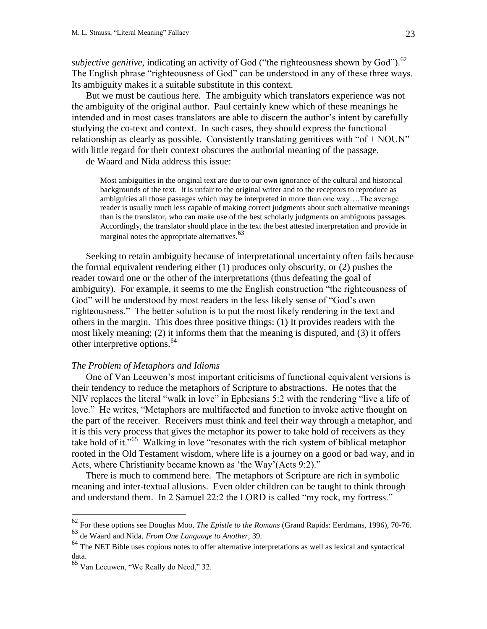*subjective genitive*, indicating an activity of God ("the righteousness shown by God").<sup>62</sup> The English phrase "righteousness of God" can be understood in any of these three ways. Its ambiguity makes it a suitable substitute in this context.

But we must be cautious here. The ambiguity which translators experience was not the ambiguity of the original author. Paul certainly knew which of these meanings he intended and in most cases translators are able to discern the author"s intent by carefully studying the co-text and context. In such cases, they should express the functional relationship as clearly as possible. Consistently translating genitives with "of + NOUN" with little regard for their context obscures the authorial meaning of the passage.

de Waard and Nida address this issue:

Most ambiguities in the original text are due to our own ignorance of the cultural and historical backgrounds of the text. It is unfair to the original writer and to the receptors to reproduce as ambiguities all those passages which may be interpreted in more than one way….The average reader is usually much less capable of making correct judgments about such alternative meanings than is the translator, who can make use of the best scholarly judgments on ambiguous passages. Accordingly, the translator should place in the text the best attested interpretation and provide in marginal notes the appropriate alternatives.<sup>63</sup>

Seeking to retain ambiguity because of interpretational uncertainty often fails because the formal equivalent rendering either (1) produces only obscurity, or (2) pushes the reader toward one or the other of the interpretations (thus defeating the goal of ambiguity). For example, it seems to me the English construction "the righteousness of God" will be understood by most readers in the less likely sense of "God"s own righteousness." The better solution is to put the most likely rendering in the text and others in the margin. This does three positive things: (1) It provides readers with the most likely meaning; (2) it informs them that the meaning is disputed, and (3) it offers other interpretive options.<sup>64</sup>

#### *The Problem of Metaphors and Idioms*

One of Van Leeuwen"s most important criticisms of functional equivalent versions is their tendency to reduce the metaphors of Scripture to abstractions. He notes that the NIV replaces the literal "walk in love" in Ephesians 5:2 with the rendering "live a life of love." He writes, "Metaphors are multifaceted and function to invoke active thought on the part of the receiver. Receivers must think and feel their way through a metaphor, and it is this very process that gives the metaphor its power to take hold of receivers as they take hold of it."<sup>65</sup> Walking in love "resonates with the rich system of biblical metaphor rooted in the Old Testament wisdom, where life is a journey on a good or bad way, and in Acts, where Christianity became known as "the Way"(Acts 9:2)."

There is much to commend here. The metaphors of Scripture are rich in symbolic meaning and inter-textual allusions. Even older children can be taught to think through and understand them. In 2 Samuel 22:2 the LORD is called "my rock, my fortress."

<sup>62</sup> For these options see Douglas Moo, *The Epistle to the Romans* (Grand Rapids: Eerdmans, 1996), 70-76. <sup>63</sup> de Waard and Nida, *From One Language to Another,* 39.

<sup>&</sup>lt;sup>64</sup> The NET Bible uses copious notes to offer alternative interpretations as well as lexical and syntactical data.

<sup>65</sup> Van Leeuwen, "We Really do Need," 32.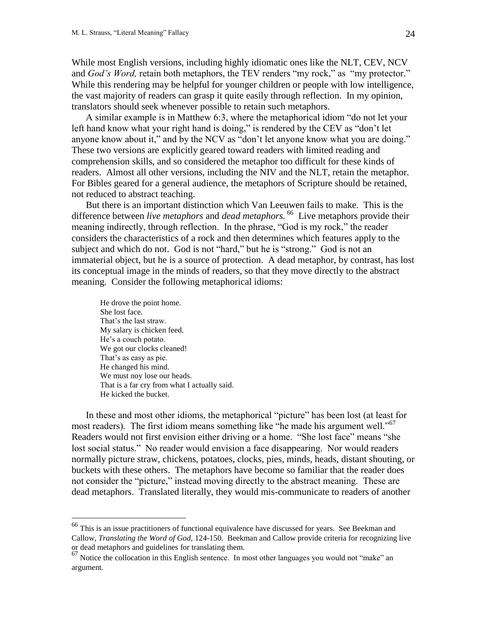While most English versions, including highly idiomatic ones like the NLT, CEV, NCV and *God's Word*, retain both metaphors, the TEV renders "my rock," as "my protector." While this rendering may be helpful for younger children or people with low intelligence, the vast majority of readers can grasp it quite easily through reflection. In my opinion, translators should seek whenever possible to retain such metaphors.

A similar example is in Matthew 6:3, where the metaphorical idiom "do not let your left hand know what your right hand is doing," is rendered by the CEV as "don"t let anyone know about it," and by the NCV as "don't let anyone know what you are doing." These two versions are explicitly geared toward readers with limited reading and comprehension skills, and so considered the metaphor too difficult for these kinds of readers. Almost all other versions, including the NIV and the NLT, retain the metaphor. For Bibles geared for a general audience, the metaphors of Scripture should be retained, not reduced to abstract teaching.

But there is an important distinction which Van Leeuwen fails to make. This is the difference between *live metaphors* and *dead metaphors.* <sup>66</sup> Live metaphors provide their meaning indirectly, through reflection. In the phrase, "God is my rock," the reader considers the characteristics of a rock and then determines which features apply to the subject and which do not. God is not "hard," but he is "strong." God is not an immaterial object, but he is a source of protection. A dead metaphor, by contrast, has lost its conceptual image in the minds of readers, so that they move directly to the abstract meaning. Consider the following metaphorical idioms:

He drove the point home. She lost face. That"s the last straw. My salary is chicken feed. He"s a couch potato. We got our clocks cleaned! That's as easy as pie. He changed his mind. We must noy lose our heads. That is a far cry from what I actually said. He kicked the bucket.

 $\overline{a}$ 

In these and most other idioms, the metaphorical "picture" has been lost (at least for most readers). The first idiom means something like "he made his argument well."<sup>67</sup> Readers would not first envision either driving or a home. "She lost face" means "she lost social status." No reader would envision a face disappearing. Nor would readers normally picture straw, chickens, potatoes, clocks, pies, minds, heads, distant shouting, or buckets with these others. The metaphors have become so familiar that the reader does not consider the "picture," instead moving directly to the abstract meaning. These are dead metaphors. Translated literally, they would mis-communicate to readers of another

 $^{66}$  This is an issue practitioners of functional equivalence have discussed for years. See Beekman and Callow, *Translating the Word of God,* 124-150. Beekman and Callow provide criteria for recognizing live or dead metaphors and guidelines for translating them.

<sup>&</sup>lt;sup>67</sup> Notice the collocation in this English sentence. In most other languages you would not "make" an argument.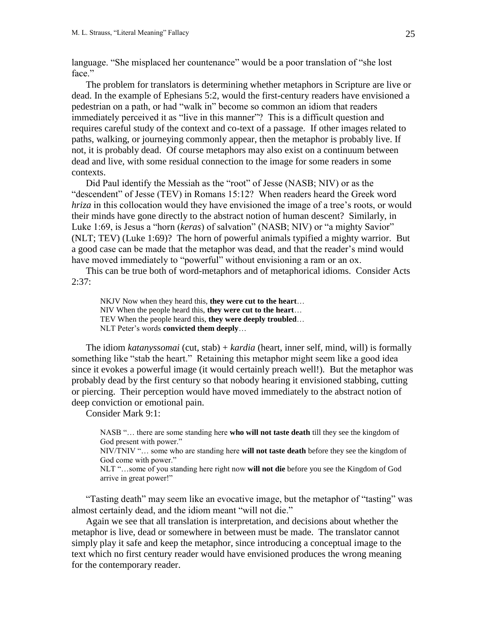language. "She misplaced her countenance" would be a poor translation of "she lost face"

The problem for translators is determining whether metaphors in Scripture are live or dead. In the example of Ephesians 5:2, would the first-century readers have envisioned a pedestrian on a path, or had "walk in" become so common an idiom that readers immediately perceived it as "live in this manner"? This is a difficult question and requires careful study of the context and co-text of a passage. If other images related to paths, walking, or journeying commonly appear, then the metaphor is probably live. If not, it is probably dead. Of course metaphors may also exist on a continuum between dead and live, with some residual connection to the image for some readers in some contexts.

Did Paul identify the Messiah as the "root" of Jesse (NASB; NIV) or as the "descendent" of Jesse (TEV) in Romans 15:12? When readers heard the Greek word *hriza* in this collocation would they have envisioned the image of a tree's roots, or would their minds have gone directly to the abstract notion of human descent? Similarly, in Luke 1:69, is Jesus a "horn (*keras*) of salvation" (NASB; NIV) or "a mighty Savior" (NLT; TEV) (Luke 1:69)? The horn of powerful animals typified a mighty warrior. But a good case can be made that the metaphor was dead, and that the reader"s mind would have moved immediately to "powerful" without envisioning a ram or an ox.

This can be true both of word-metaphors and of metaphorical idioms. Consider Acts  $2:37:$ 

NKJV Now when they heard this, **they were cut to the heart**… NIV When the people heard this, **they were cut to the heart**… TEV When the people heard this, **they were deeply troubled**… NLT Peter"s words **convicted them deeply**…

The idiom *katanyssomai* (cut, stab) + *kardia* (heart, inner self, mind, will) is formally something like "stab the heart." Retaining this metaphor might seem like a good idea since it evokes a powerful image (it would certainly preach well!). But the metaphor was probably dead by the first century so that nobody hearing it envisioned stabbing, cutting or piercing. Their perception would have moved immediately to the abstract notion of deep conviction or emotional pain.

Consider Mark 9:1:

NASB "… there are some standing here **who will not taste death** till they see the kingdom of God present with power."

NIV/TNIV "… some who are standing here **will not taste death** before they see the kingdom of God come with power."

NLT "…some of you standing here right now **will not die** before you see the Kingdom of God arrive in great power!"

"Tasting death" may seem like an evocative image, but the metaphor of "tasting" was almost certainly dead, and the idiom meant "will not die."

Again we see that all translation is interpretation, and decisions about whether the metaphor is live, dead or somewhere in between must be made. The translator cannot simply play it safe and keep the metaphor, since introducing a conceptual image to the text which no first century reader would have envisioned produces the wrong meaning for the contemporary reader.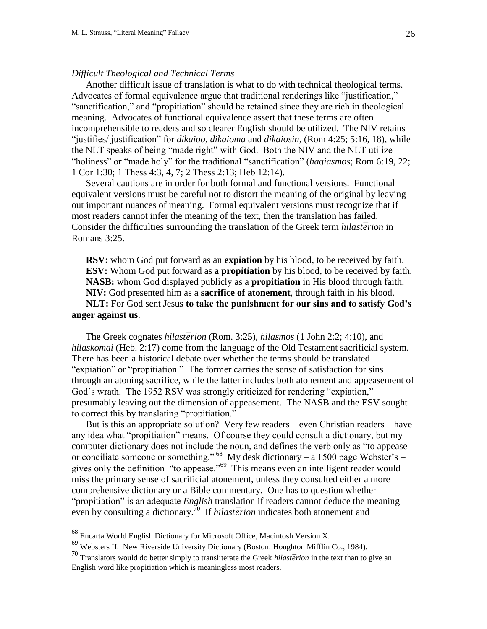#### *Difficult Theological and Technical Terms*

Another difficult issue of translation is what to do with technical theological terms. Advocates of formal equivalence argue that traditional renderings like "justification," "sanctification," and "propitiation" should be retained since they are rich in theological meaning. Advocates of functional equivalence assert that these terms are often incomprehensible to readers and so clearer English should be utilized. The NIV retains "justifies/ justification" for *dikaioō, dikaiōma* and *dikaiōsin*, (Rom 4:25; 5:16, 18), while the NLT speaks of being "made right" with God. Both the NIV and the NLT utilize "holiness" or "made holy" for the traditional "sanctification" (*hagiasmos*; Rom 6:19, 22; 1 Cor 1:30; 1 Thess 4:3, 4, 7; 2 Thess 2:13; Heb 12:14).

Several cautions are in order for both formal and functional versions. Functional equivalent versions must be careful not to distort the meaning of the original by leaving out important nuances of meaning. Formal equivalent versions must recognize that if most readers cannot infer the meaning of the text, then the translation has failed. Consider the difficulties surrounding the translation of the Greek term *hilasterion* in Romans 3:25.

**RSV:** whom God put forward as an **expiation** by his blood, to be received by faith. **ESV:** Whom God put forward as a **propitiation** by his blood, to be received by faith. **NASB:** whom God displayed publicly as a **propitiation** in His blood through faith. **NIV:** God presented him as a **sacrifice of atonement**, through faith in his blood. **NLT:** For God sent Jesus **to take the punishment for our sins and to satisfy God's anger against us**.

The Greek cognates *hilastērion* (Rom. 3:25), *hilasmos* (1 John 2:2; 4:10), and *hilaskomai* (Heb. 2:17) come from the language of the Old Testament sacrificial system. There has been a historical debate over whether the terms should be translated "expiation" or "propitiation." The former carries the sense of satisfaction for sins through an atoning sacrifice, while the latter includes both atonement and appeasement of God's wrath. The 1952 RSV was strongly criticized for rendering "expiation," presumably leaving out the dimension of appeasement. The NASB and the ESV sought to correct this by translating "propitiation."

But is this an appropriate solution? Very few readers – even Christian readers – have any idea what "propitiation" means. Of course they could consult a dictionary, but my computer dictionary does not include the noun, and defines the verb only as "to appease or conciliate someone or something."<sup>68</sup> My desk dictionary – a 1500 page Webster's – gives only the definition "to appease."<sup>69</sup> This means even an intelligent reader would miss the primary sense of sacrificial atonement, unless they consulted either a more comprehensive dictionary or a Bible commentary. One has to question whether "propitiation" is an adequate *English* translation if readers cannot deduce the meaning even by consulting a dictionary.<sup>70</sup> If *hilastērion* indicates both atonement and

 $^{68}$  Encarta World English Dictionary for Microsoft Office, Macintosh Version X.

<sup>&</sup>lt;sup>69</sup> Websters II. New Riverside University Dictionary (Boston: Houghton Mifflin Co., 1984).

<sup>&</sup>lt;sup>70</sup> Translators would do better simply to transliterate the Greek *hilastērion* in the text than to give an English word like propitiation which is meaningless most readers.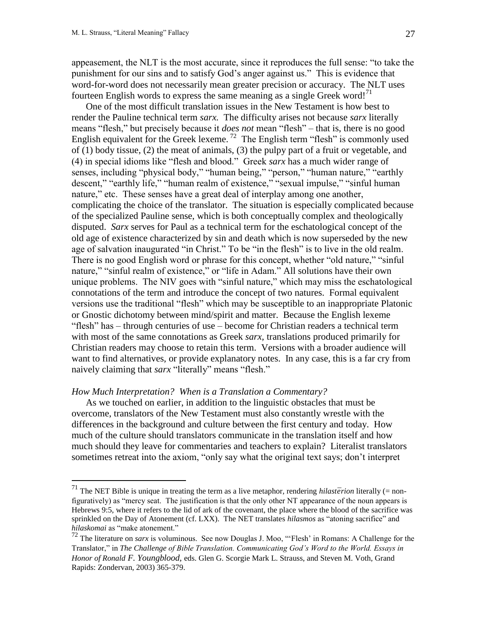appeasement, the NLT is the most accurate, since it reproduces the full sense: "to take the punishment for our sins and to satisfy God"s anger against us." This is evidence that word-for-word does not necessarily mean greater precision or accuracy. The NLT uses fourteen English words to express the same meaning as a single Greek word!<sup>71</sup>

One of the most difficult translation issues in the New Testament is how best to render the Pauline technical term *sarx.* The difficulty arises not because *sarx* literally means "flesh," but precisely because it *does not* mean "flesh" – that is, there is no good English equivalent for the Greek lexeme.<sup>72</sup> The English term "flesh" is commonly used of (1) body tissue, (2) the meat of animals, (3) the pulpy part of a fruit or vegetable, and (4) in special idioms like "flesh and blood." Greek *sarx* has a much wider range of senses, including "physical body," "human being," "person," "human nature," "earthly descent," "earthly life," "human realm of existence," "sexual impulse," "sinful human nature," etc. These senses have a great deal of interplay among one another, complicating the choice of the translator. The situation is especially complicated because of the specialized Pauline sense, which is both conceptually complex and theologically disputed. *Sarx* serves for Paul as a technical term for the eschatological concept of the old age of existence characterized by sin and death which is now superseded by the new age of salvation inaugurated "in Christ." To be "in the flesh" is to live in the old realm. There is no good English word or phrase for this concept, whether "old nature," "sinful nature," "sinful realm of existence," or "life in Adam." All solutions have their own unique problems. The NIV goes with "sinful nature," which may miss the eschatological connotations of the term and introduce the concept of two natures. Formal equivalent versions use the traditional "flesh" which may be susceptible to an inappropriate Platonic or Gnostic dichotomy between mind/spirit and matter. Because the English lexeme "flesh" has – through centuries of use – become for Christian readers a technical term with most of the same connotations as Greek *sarx,* translations produced primarily for Christian readers may choose to retain this term. Versions with a broader audience will want to find alternatives, or provide explanatory notes. In any case, this is a far cry from naively claiming that *sarx* "literally" means "flesh."

#### *How Much Interpretation? When is a Translation a Commentary?*

 $\overline{a}$ 

As we touched on earlier, in addition to the linguistic obstacles that must be overcome, translators of the New Testament must also constantly wrestle with the differences in the background and culture between the first century and today. How much of the culture should translators communicate in the translation itself and how much should they leave for commentaries and teachers to explain? Literalist translators sometimes retreat into the axiom, "only say what the original text says; don't interpret

<sup>&</sup>lt;sup>71</sup> The NET Bible is unique in treating the term as a live metaphor, rendering *hilastērion* literally (= nonfiguratively) as "mercy seat. The justification is that the only other NT appearance of the noun appears is Hebrews 9:5, where it refers to the lid of ark of the covenant, the place where the blood of the sacrifice was sprinkled on the Day of Atonement (cf. LXX). The NET translates *hilasmos* as "atoning sacrifice" and *hilaskomai* as "make atonement."

<sup>72</sup> The literature on *sarx* is voluminous. See now Douglas J. Moo, ""Flesh" in Romans: A Challenge for the Translator," in *The Challenge of Bible Translation. Communicating God's Word to the World. Essays in Honor of Ronald F. Youngblood,* eds. Glen G. Scorgie Mark L. Strauss, and Steven M. Voth, Grand Rapids: Zondervan, 2003) 365-379.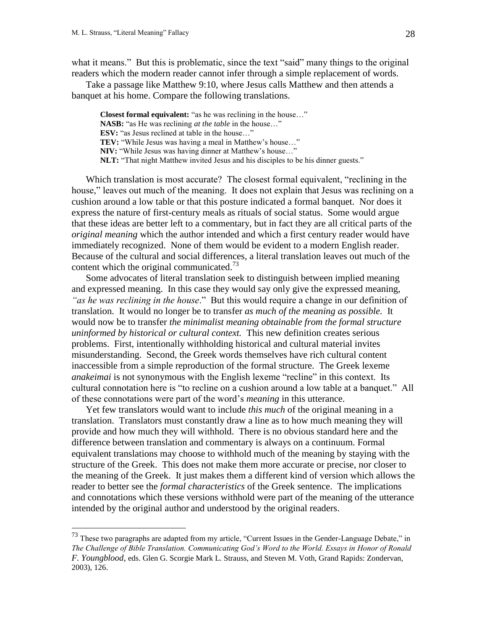$\overline{a}$ 

what it means." But this is problematic, since the text "said" many things to the original readers which the modern reader cannot infer through a simple replacement of words.

Take a passage like Matthew 9:10, where Jesus calls Matthew and then attends a banquet at his home. Compare the following translations.

**Closest formal equivalent:** "as he was reclining in the house…" **NASB:** "as He was reclining *at the table* in the house…" **ESV:** "as Jesus reclined at table in the house…" **TEV:** "While Jesus was having a meal in Matthew"s house…" **NIV:** "While Jesus was having dinner at Matthew"s house…" **NLT:** "That night Matthew invited Jesus and his disciples to be his dinner guests."

Which translation is most accurate? The closest formal equivalent, "reclining in the house," leaves out much of the meaning. It does not explain that Jesus was reclining on a cushion around a low table or that this posture indicated a formal banquet. Nor does it express the nature of first-century meals as rituals of social status. Some would argue that these ideas are better left to a commentary, but in fact they are all critical parts of the *original meaning* which the author intended and which a first century reader would have immediately recognized. None of them would be evident to a modern English reader. Because of the cultural and social differences, a literal translation leaves out much of the content which the original communicated.<sup>73</sup>

Some advocates of literal translation seek to distinguish between implied meaning and expressed meaning. In this case they would say only give the expressed meaning, *"as he was reclining in the house*." But this would require a change in our definition of translation. It would no longer be to transfer *as much of the meaning as possible.* It would now be to transfer *the minimalist meaning obtainable from the formal structure uninformed by historical or cultural context.* This new definition creates serious problems. First, intentionally withholding historical and cultural material invites misunderstanding. Second, the Greek words themselves have rich cultural content inaccessible from a simple reproduction of the formal structure. The Greek lexeme *anakeimai* is not synonymous with the English lexeme "recline" in this context. Its cultural connotation here is "to recline on a cushion around a low table at a banquet." All of these connotations were part of the word"s *meaning* in this utterance.

Yet few translators would want to include *this much* of the original meaning in a translation. Translators must constantly draw a line as to how much meaning they will provide and how much they will withhold. There is no obvious standard here and the difference between translation and commentary is always on a continuum. Formal equivalent translations may choose to withhold much of the meaning by staying with the structure of the Greek. This does not make them more accurate or precise, nor closer to the meaning of the Greek. It just makes them a different kind of version which allows the reader to better see the *formal characteristics* of the Greek sentence. The implications and connotations which these versions withhold were part of the meaning of the utterance intended by the original author and understood by the original readers.

 $^{73}$  These two paragraphs are adapted from my article, "Current Issues in the Gender-Language Debate," in *The Challenge of Bible Translation. Communicating God's Word to the World. Essays in Honor of Ronald F. Youngblood,* eds. Glen G. Scorgie Mark L. Strauss, and Steven M. Voth, Grand Rapids: Zondervan, 2003), 126.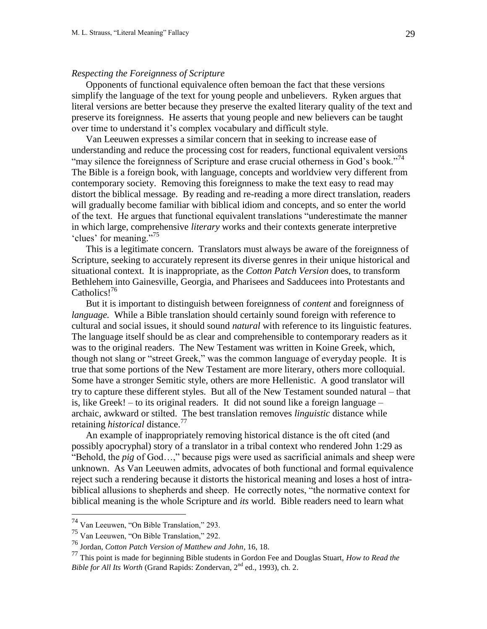### *Respecting the Foreignness of Scripture*

Opponents of functional equivalence often bemoan the fact that these versions simplify the language of the text for young people and unbelievers. Ryken argues that literal versions are better because they preserve the exalted literary quality of the text and preserve its foreignness. He asserts that young people and new believers can be taught over time to understand it"s complex vocabulary and difficult style.

Van Leeuwen expresses a similar concern that in seeking to increase ease of understanding and reduce the processing cost for readers, functional equivalent versions "may silence the foreignness of Scripture and erase crucial otherness in God's book."<sup>74</sup> The Bible is a foreign book, with language, concepts and worldview very different from contemporary society. Removing this foreignness to make the text easy to read may distort the biblical message. By reading and re-reading a more direct translation, readers will gradually become familiar with biblical idiom and concepts, and so enter the world of the text. He argues that functional equivalent translations "underestimate the manner in which large, comprehensive *literary* works and their contexts generate interpretive 'clues' for meaning."<sup>75</sup>

This is a legitimate concern. Translators must always be aware of the foreignness of Scripture, seeking to accurately represent its diverse genres in their unique historical and situational context. It is inappropriate, as the *Cotton Patch Version* does, to transform Bethlehem into Gainesville, Georgia, and Pharisees and Sadducees into Protestants and Catholics!<sup>76</sup>

But it is important to distinguish between foreignness of *content* and foreignness of *language.* While a Bible translation should certainly sound foreign with reference to cultural and social issues, it should sound *natural* with reference to its linguistic features. The language itself should be as clear and comprehensible to contemporary readers as it was to the original readers. The New Testament was written in Koine Greek, which, though not slang or "street Greek," was the common language of everyday people. It is true that some portions of the New Testament are more literary, others more colloquial. Some have a stronger Semitic style, others are more Hellenistic. A good translator will try to capture these different styles. But all of the New Testament sounded natural – that is, like Greek!  $-$  to its original readers. It did not sound like a foreign language  $$ archaic, awkward or stilted. The best translation removes *linguistic* distance while retaining *historical* distance.<sup>77</sup>

An example of inappropriately removing historical distance is the oft cited (and possibly apocryphal) story of a translator in a tribal context who rendered John 1:29 as "Behold, the *pig* of God…," because pigs were used as sacrificial animals and sheep were unknown. As Van Leeuwen admits, advocates of both functional and formal equivalence reject such a rendering because it distorts the historical meaning and loses a host of intrabiblical allusions to shepherds and sheep. He correctly notes, "the normative context for biblical meaning is the whole Scripture and *its* world. Bible readers need to learn what

<sup>74</sup> Van Leeuwen, "On Bible Translation," 293.

<sup>75</sup> Van Leeuwen, "On Bible Translation," 292.

<sup>76</sup> Jordan, *Cotton Patch Version of Matthew and John*, 16, 18.

<sup>77</sup> This point is made for beginning Bible students in Gordon Fee and Douglas Stuart, *How to Read the Bible for All Its Worth* (Grand Rapids: Zondervan, 2nd ed., 1993), ch. 2.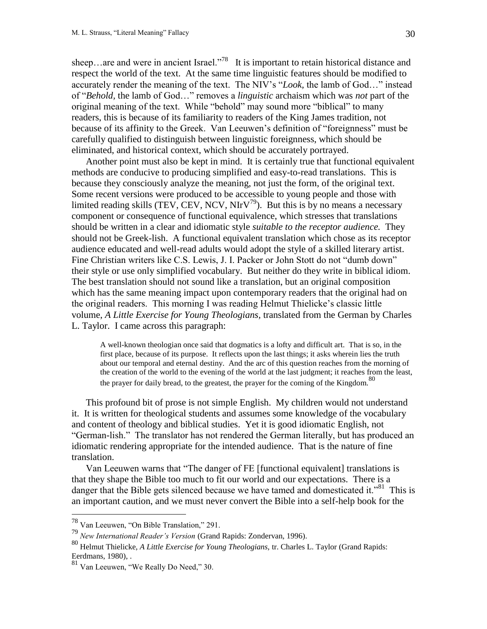sheep...are and were in ancient Israel."<sup>78</sup> It is important to retain historical distance and respect the world of the text. At the same time linguistic features should be modified to accurately render the meaning of the text. The NIV"s "*Look,* the lamb of God…" instead of "*Behold,* the lamb of God…" removes a *linguistic* archaism which was *not* part of the original meaning of the text. While "behold" may sound more "biblical" to many readers, this is because of its familiarity to readers of the King James tradition, not because of its affinity to the Greek. Van Leeuwen"s definition of "foreignness" must be carefully qualified to distinguish between linguistic foreignness, which should be eliminated, and historical context, which should be accurately portrayed.

Another point must also be kept in mind. It is certainly true that functional equivalent methods are conducive to producing simplified and easy-to-read translations. This is because they consciously analyze the meaning, not just the form, of the original text. Some recent versions were produced to be accessible to young people and those with limited reading skills (TEV, CEV, NCV,  $NIrV<sup>79</sup>$ ). But this is by no means a necessary component or consequence of functional equivalence, which stresses that translations should be written in a clear and idiomatic style *suitable to the receptor audience.* They should not be Greek-lish. A functional equivalent translation which chose as its receptor audience educated and well-read adults would adopt the style of a skilled literary artist. Fine Christian writers like C.S. Lewis, J. I. Packer or John Stott do not "dumb down" their style or use only simplified vocabulary. But neither do they write in biblical idiom. The best translation should not sound like a translation, but an original composition which has the same meaning impact upon contemporary readers that the original had on the original readers. This morning I was reading Helmut Thielicke"s classic little volume, *A Little Exercise for Young Theologians,* translated from the German by Charles L. Taylor. I came across this paragraph:

A well-known theologian once said that dogmatics is a lofty and difficult art. That is so, in the first place, because of its purpose. It reflects upon the last things; it asks wherein lies the truth about our temporal and eternal destiny. And the arc of this question reaches from the morning of the creation of the world to the evening of the world at the last judgment; it reaches from the least, the prayer for daily bread, to the greatest, the prayer for the coming of the Kingdom. $\frac{80}{30}$ 

This profound bit of prose is not simple English. My children would not understand it. It is written for theological students and assumes some knowledge of the vocabulary and content of theology and biblical studies. Yet it is good idiomatic English, not "German-lish." The translator has not rendered the German literally, but has produced an idiomatic rendering appropriate for the intended audience. That is the nature of fine translation.

Van Leeuwen warns that "The danger of FE [functional equivalent] translations is that they shape the Bible too much to fit our world and our expectations. There is a danger that the Bible gets silenced because we have tamed and domesticated it."<sup>81</sup> This is an important caution, and we must never convert the Bible into a self-help book for the

<sup>78</sup> Van Leeuwen, "On Bible Translation," 291.

<sup>79</sup> *New International Reader's Version* (Grand Rapids: Zondervan, 1996).

<sup>80</sup> Helmut Thielicke, *A Little Exercise for Young Theologians,* tr. Charles L. Taylor (Grand Rapids: Eerdmans, 1980), .

<sup>81</sup> Van Leeuwen, "We Really Do Need," 30.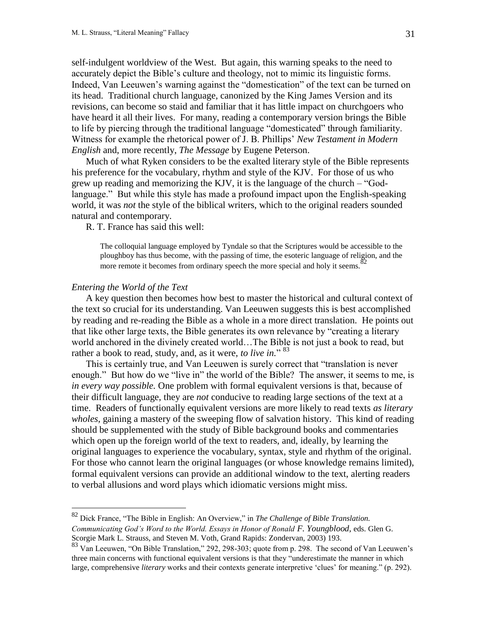self-indulgent worldview of the West. But again, this warning speaks to the need to accurately depict the Bible"s culture and theology, not to mimic its linguistic forms. Indeed, Van Leeuwen"s warning against the "domestication" of the text can be turned on its head. Traditional church language, canonized by the King James Version and its revisions, can become so staid and familiar that it has little impact on churchgoers who have heard it all their lives. For many, reading a contemporary version brings the Bible to life by piercing through the traditional language "domesticated" through familiarity. Witness for example the rhetorical power of J. B. Phillips" *New Testament in Modern English* and, more recently, *The Message* by Eugene Peterson.

Much of what Ryken considers to be the exalted literary style of the Bible represents his preference for the vocabulary, rhythm and style of the KJV. For those of us who grew up reading and memorizing the KJV, it is the language of the church – "Godlanguage." But while this style has made a profound impact upon the English-speaking world, it was *not* the style of the biblical writers, which to the original readers sounded natural and contemporary.

R. T. France has said this well:

The colloquial language employed by Tyndale so that the Scriptures would be accessible to the ploughboy has thus become, with the passing of time, the esoteric language of religion, and the more remote it becomes from ordinary speech the more special and holy it seems.<sup>8</sup>

#### *Entering the World of the Text*

 $\overline{a}$ 

A key question then becomes how best to master the historical and cultural context of the text so crucial for its understanding. Van Leeuwen suggests this is best accomplished by reading and re-reading the Bible as a whole in a more direct translation. He points out that like other large texts, the Bible generates its own relevance by "creating a literary world anchored in the divinely created world…The Bible is not just a book to read, but rather a book to read, study, and, as it were, *to live in.*"<sup>83</sup>

This is certainly true, and Van Leeuwen is surely correct that "translation is never enough." But how do we "live in" the world of the Bible? The answer, it seems to me, is *in every way possible.* One problem with formal equivalent versions is that, because of their difficult language, they are *not* conducive to reading large sections of the text at a time. Readers of functionally equivalent versions are more likely to read texts *as literary wholes,* gaining a mastery of the sweeping flow of salvation history. This kind of reading should be supplemented with the study of Bible background books and commentaries which open up the foreign world of the text to readers, and, ideally, by learning the original languages to experience the vocabulary, syntax, style and rhythm of the original. For those who cannot learn the original languages (or whose knowledge remains limited), formal equivalent versions can provide an additional window to the text, alerting readers to verbal allusions and word plays which idiomatic versions might miss.

<sup>82</sup> Dick France, "The Bible in English: An Overview," in *The Challenge of Bible Translation. Communicating God's Word to the World. Essays in Honor of Ronald F. Youngblood,* eds. Glen G. Scorgie Mark L. Strauss, and Steven M. Voth, Grand Rapids: Zondervan, 2003) 193.

<sup>&</sup>lt;sup>83</sup> Van Leeuwen, "On Bible Translation," 292, 298-303; quote from p. 298. The second of Van Leeuwen's three main concerns with functional equivalent versions is that they "underestimate the manner in which large, comprehensive *literary* works and their contexts generate interpretive "clues" for meaning." (p. 292).